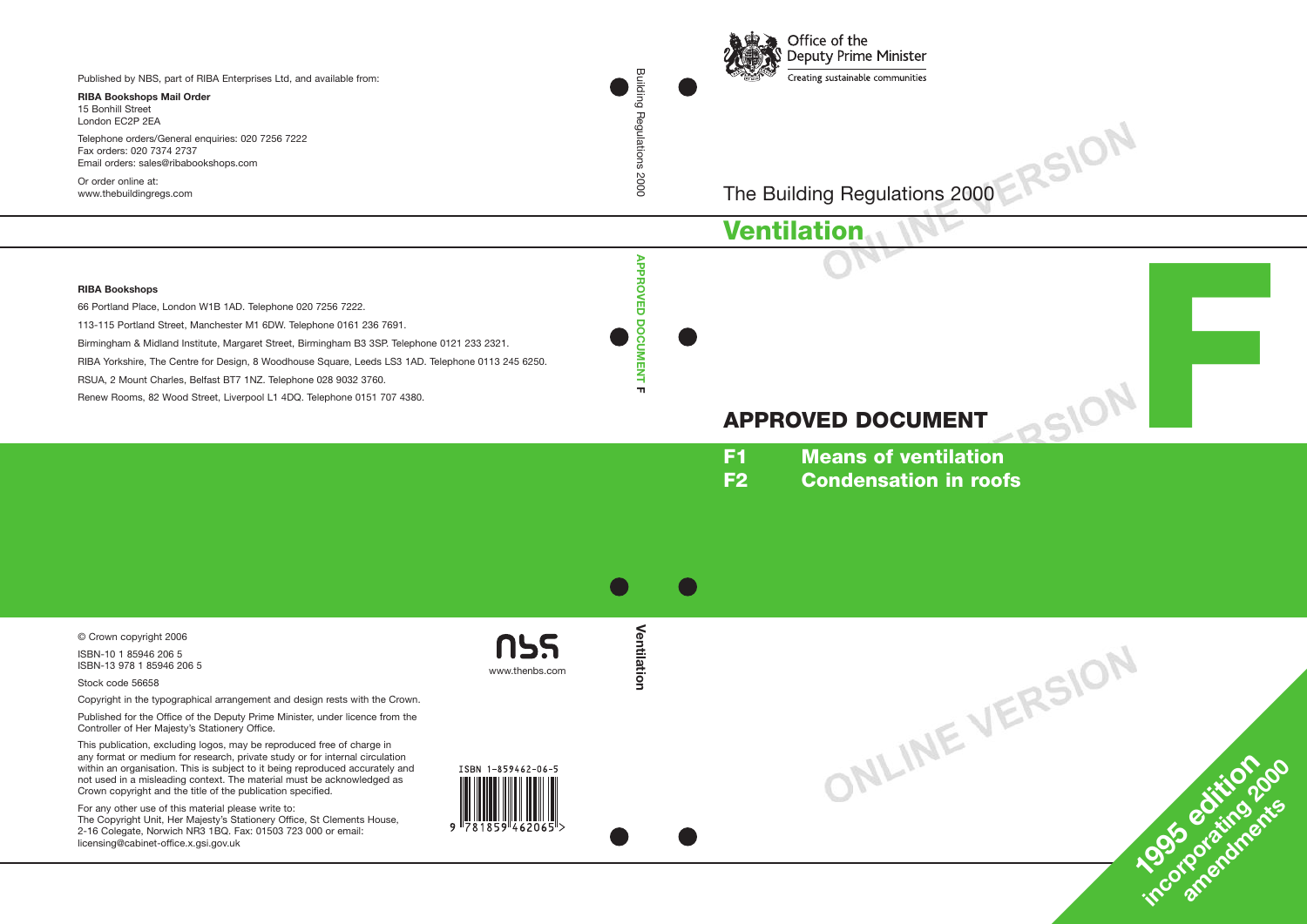

The Building Regulations 2000

**Ventilation**

# **APPROVED DOCUMENT**

| F1   | Means of ventilation   |
|------|------------------------|
| IP A | Assalanaalise in saafa |

**F**

**1995** edition 2000

**F2 Condensation in roofs**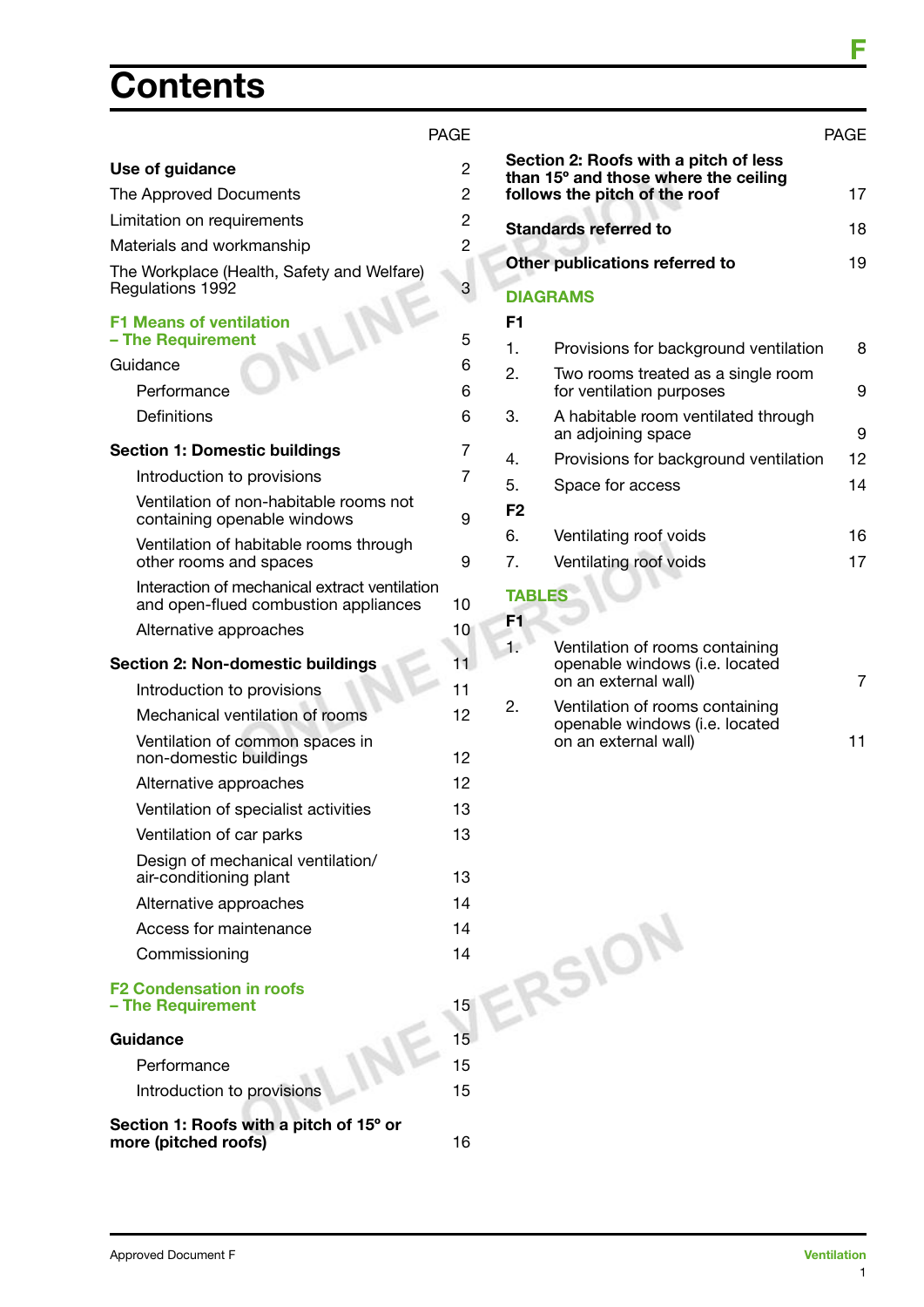# **Contents**

|                                                                                       | <b>PAGE</b>                      |                      |                                                    |
|---------------------------------------------------------------------------------------|----------------------------------|----------------------|----------------------------------------------------|
| Use of guidance                                                                       | $\overline{c}$<br>$\overline{c}$ |                      | Section 2: Roofs with a<br>than 15° and those wher |
| The Approved Documents                                                                |                                  |                      | follows the pitch of the r                         |
| Limitation on requirements                                                            |                                  |                      | <b>Standards referred to</b>                       |
| Materials and workmanship                                                             |                                  |                      | <b>Other publications referi</b>                   |
| The Workplace (Health, Safety and Welfare)<br>Regulations 1992                        | 3                                |                      | <b>DIAGRAMS</b>                                    |
| <b>F1 Means of ventilation</b>                                                        |                                  | F <sub>1</sub>       |                                                    |
| - The Requirement                                                                     | 5                                | 1.                   | Provisions for back                                |
| Guidance<br>Performance                                                               | 6                                | 2.                   | Two rooms treated                                  |
|                                                                                       | 6                                |                      | for ventilation purp                               |
| Definitions                                                                           | 6                                | 3.                   | A habitable room v<br>an adjoining space           |
| <b>Section 1: Domestic buildings</b>                                                  | 7                                | 4.                   | Provisions for back                                |
| Introduction to provisions                                                            | 7                                | 5.                   | Space for access                                   |
| Ventilation of non-habitable rooms not<br>containing openable windows                 | 9                                | F <sub>2</sub>       |                                                    |
| Ventilation of habitable rooms through                                                |                                  | 6.                   | Ventilating roof void                              |
| other rooms and spaces                                                                | 9                                | 7.                   | Ventilating roof void                              |
| Interaction of mechanical extract ventilation<br>and open-flued combustion appliances | 10                               | <b>TABLES</b>        |                                                    |
| Alternative approaches                                                                | 10                               | F <sub>1</sub>       |                                                    |
| <b>Section 2: Non-domestic buildings</b>                                              |                                  | $\ddot{\phantom{1}}$ | Ventilation of room:<br>openable windows           |
| Introduction to provisions                                                            | 11                               |                      | on an external wall)                               |
| Mechanical ventilation of rooms                                                       | 12                               | 2.                   | Ventilation of room:<br>openable windows           |
| Ventilation of common spaces in<br>non-domestic buildings                             | 12                               |                      | on an external wall                                |
| Alternative approaches                                                                | 12                               |                      |                                                    |
| Ventilation of specialist activities                                                  | 13                               |                      |                                                    |
| Ventilation of car parks                                                              | 13                               |                      |                                                    |
| Design of mechanical ventilation/<br>air-conditioning plant                           | 13                               |                      |                                                    |
| Alternative approaches                                                                | 14                               |                      |                                                    |
| Access for maintenance                                                                | 14                               |                      |                                                    |
| Commissioning                                                                         | 14                               |                      |                                                    |
| <b>F2 Condensation in roofs</b><br>- The Requirement                                  | 15                               |                      | ERSION                                             |
| <b>Guidance</b>                                                                       | 15                               |                      |                                                    |
| Performance                                                                           | 15                               |                      |                                                    |
| Introduction to provisions                                                            | 15                               |                      |                                                    |
| Section 1: Roofs with a pitch of 15° or<br>more (pitched roofs)                       | 16                               |                      |                                                    |

|                |                                                                                                                | PAGE |
|----------------|----------------------------------------------------------------------------------------------------------------|------|
|                | Section 2: Roofs with a pitch of less<br>than 15° and those where the ceiling<br>follows the pitch of the roof | 17   |
|                | <b>Standards referred to</b>                                                                                   | 18   |
|                | Other publications referred to                                                                                 | 19   |
|                | <b>DIAGRAMS</b>                                                                                                |      |
| F1             |                                                                                                                |      |
| 1.             | Provisions for background ventilation                                                                          | 8    |
| 2.             | Two rooms treated as a single room<br>for ventilation purposes                                                 | 9    |
| 3.             | A habitable room ventilated through<br>an adjoining space                                                      | 9    |
| 4.             | Provisions for background ventilation                                                                          | 12   |
| 5.             | Space for access                                                                                               | 14   |
| F <sub>2</sub> |                                                                                                                |      |
| 6.             | Ventilating roof voids                                                                                         | 16   |
| 7.             | Ventilating roof voids                                                                                         | 17   |
| <b>TARI FS</b> |                                                                                                                |      |

#### **TABLES**

|               | Ventilation of rooms containing<br>openable windows (i.e. located<br>on an external wall) |    |
|---------------|-------------------------------------------------------------------------------------------|----|
| $\mathcal{P}$ | Ventilation of rooms containing<br>openable windows (i.e. located<br>on an external wall) | 11 |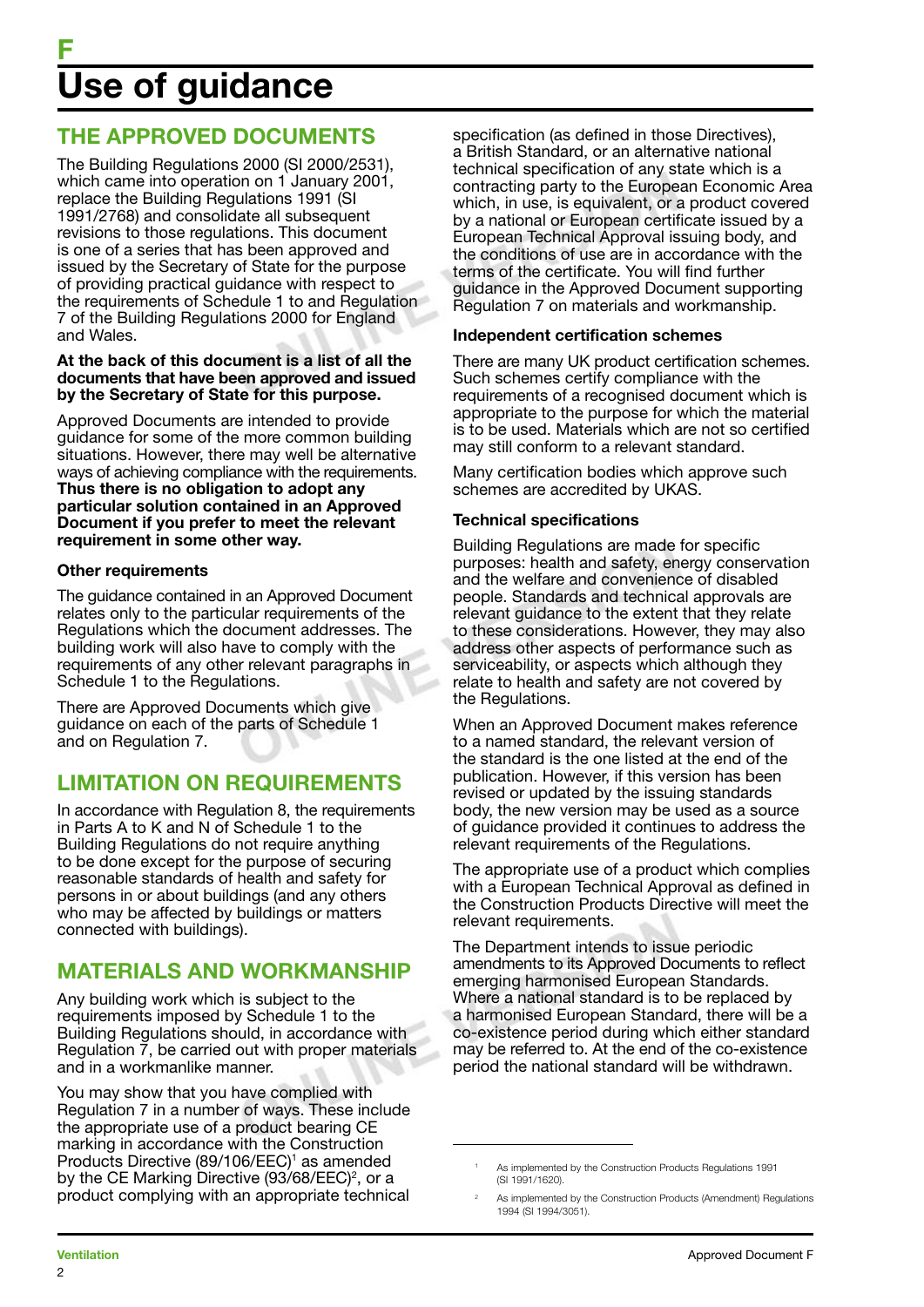# **F Use of guidance**

# **THE APPROVED DOCUMENTS**

The Building Regulations 2000 (SI 2000/2531), which came into operation on 1 January 2001, replace the Building Regulations 1991 (SI 1991/2768) and consolidate all subsequent revisions to those regulations. This document is one of a series that has been approved and issued by the Secretary of State for the purpose of providing practical guidance with respect to the requirements of Schedule 1 to and Regulation 7 of the Building Regulations 2000 for England and Wales.

#### **At the back of this document is a list of all the documents that have been approved and issued by the Secretary of State for this purpose.**

Approved Documents are intended to provide guidance for some of the more common building situations. However, there may well be alternative ways of achieving compliance with the requirements. **Thus there is no obligation to adopt any particular solution contained in an Approved Document if you prefer to meet the relevant requirement in some other way.**

#### **Other requirements**

The guidance contained in an Approved Document relates only to the particular requirements of the Regulations which the document addresses. The building work will also have to comply with the requirements of any other relevant paragraphs in Schedule 1 to the Regulations.

There are Approved Documents which give guidance on each of the parts of Schedule 1 and on Regulation 7.

# **LIMITATION ON REQUIREMENTS**

In accordance with Regulation 8, the requirements in Parts A to K and N of Schedule 1 to the Building Regulations do not require anything to be done except for the purpose of securing reasonable standards of health and safety for persons in or about buildings (and any others who may be affected by buildings or matters connected with buildings).

# **MATERIALS AND WORKMANSHIP**

Any building work which is subject to the requirements imposed by Schedule 1 to the Building Regulations should, in accordance with Regulation 7, be carried out with proper materials and in a workmanlike manner.

You may show that you have complied with Regulation 7 in a number of ways. These include the appropriate use of a product bearing CE marking in accordance with the [Construction](http://www.theBuildingRegs.com/RefDocs/CIS/Lookup.asp?AccessionNo=261105REG)  [Products Directive](http://www.theBuildingRegs.com/RefDocs/CIS/Lookup.asp?AccessionNo=261105REG) (89/106/EEC)<sup>1</sup> as amended by the CE Marking Directive  $(93/68/EEC)^2$ , or a product complying with an appropriate technical

specification (as defined in those Directives), a British Standard, or an alternative national technical specification of any state which is a contracting party to the European Economic Area which, in use, is equivalent, or a product covered by a national or European certificate issued by a European Technical Approval issuing body, and the conditions of use are in accordance with the terms of the certificate. You will find further guidance in the Approved Document supporting Regulation 7 on materials and workmanship.

#### **Independent certification schemes**

There are many UK product certification schemes. Such schemes certify compliance with the requirements of a recognised document which is appropriate to the purpose for which the material is to be used. Materials which are not so certified may still conform to a relevant standard.

Many certification bodies which approve such schemes are accredited by UKAS.

#### **Technical specifications**

Building Regulations are made for specific purposes: health and safety, energy conservation and the welfare and convenience of disabled people. Standards and technical approvals are relevant guidance to the extent that they relate to these considerations. However, they may also address other aspects of performance such as serviceability, or aspects which although they relate to health and safety are not covered by the Regulations.

When an Approved Document makes reference to a named standard, the relevant version of the standard is the one listed at the end of the publication. However, if this version has been revised or updated by the issuing standards body, the new version may be used as a source of guidance provided it continues to address the relevant requirements of the Regulations.

The appropriate use of a product which complies with a European Technical Approval as defined in the Construction Products Directive will meet the relevant requirements.

The Department intends to issue periodic amendments to its Approved Documents to reflect emerging harmonised European Standards. Where a national standard is to be replaced by a harmonised European Standard, there will be a co-existence period during which either standard may be referred to. At the end of the co-existence period the national standard will be withdrawn.

<sup>1</sup> As implemented by the Construction Products Regulations 1991 (SI 1991/1620).

<sup>2</sup> As implemented by the Construction Products (Amendment) Regulations 1994 (SI 1994/3051).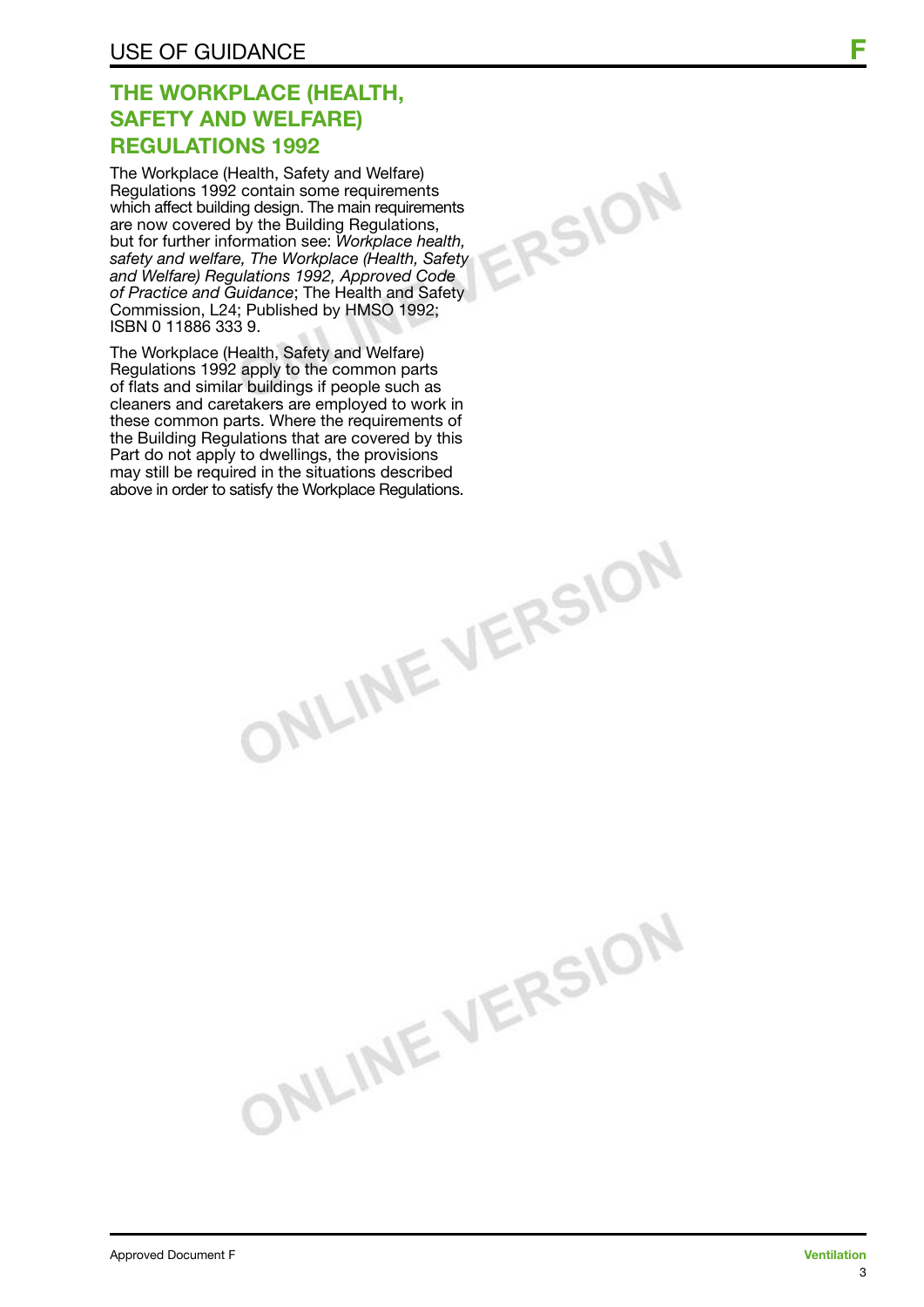## **The Workplace (Health, Safety and Welfare) Regulations 1992**

The Workplace (Health, Safety and Welfare) Regulations 1992 contain some requirements which affect building design. The main requirements are now covered by the Building Regulations, but for further information see: *Workplace health, safety and welfare, The Workplace (Health, Safety and Welfare) Regulations 1992, Approved Code of Practice and Guidance*; The Health and Safety Commission, L24; Published by HMSO 1992; ISBN 0 11886 333 9.

The Workplace (Health, Safety and Welfare) Regulations 1992 apply to the common parts of flats and similar buildings if people such as cleaners and caretakers are employed to work in these common parts. Where the requirements of the Building Regulations that are covered by this Part do not apply to dwellings, the provisions may still be required in the situations described above in order to satisfy the Workplace Regulations.

ONLINE VERSION

ONLINE VERSION

ERSION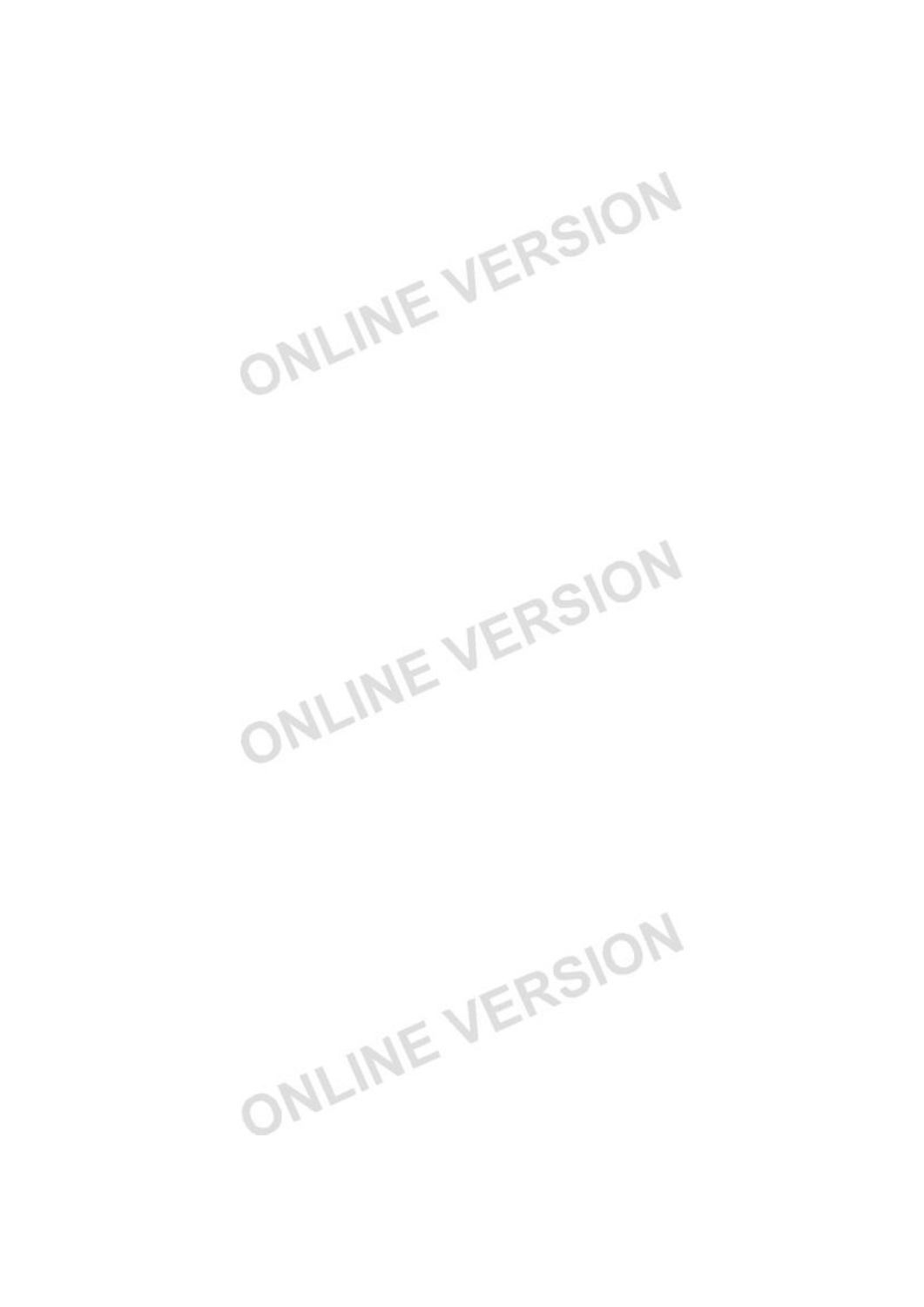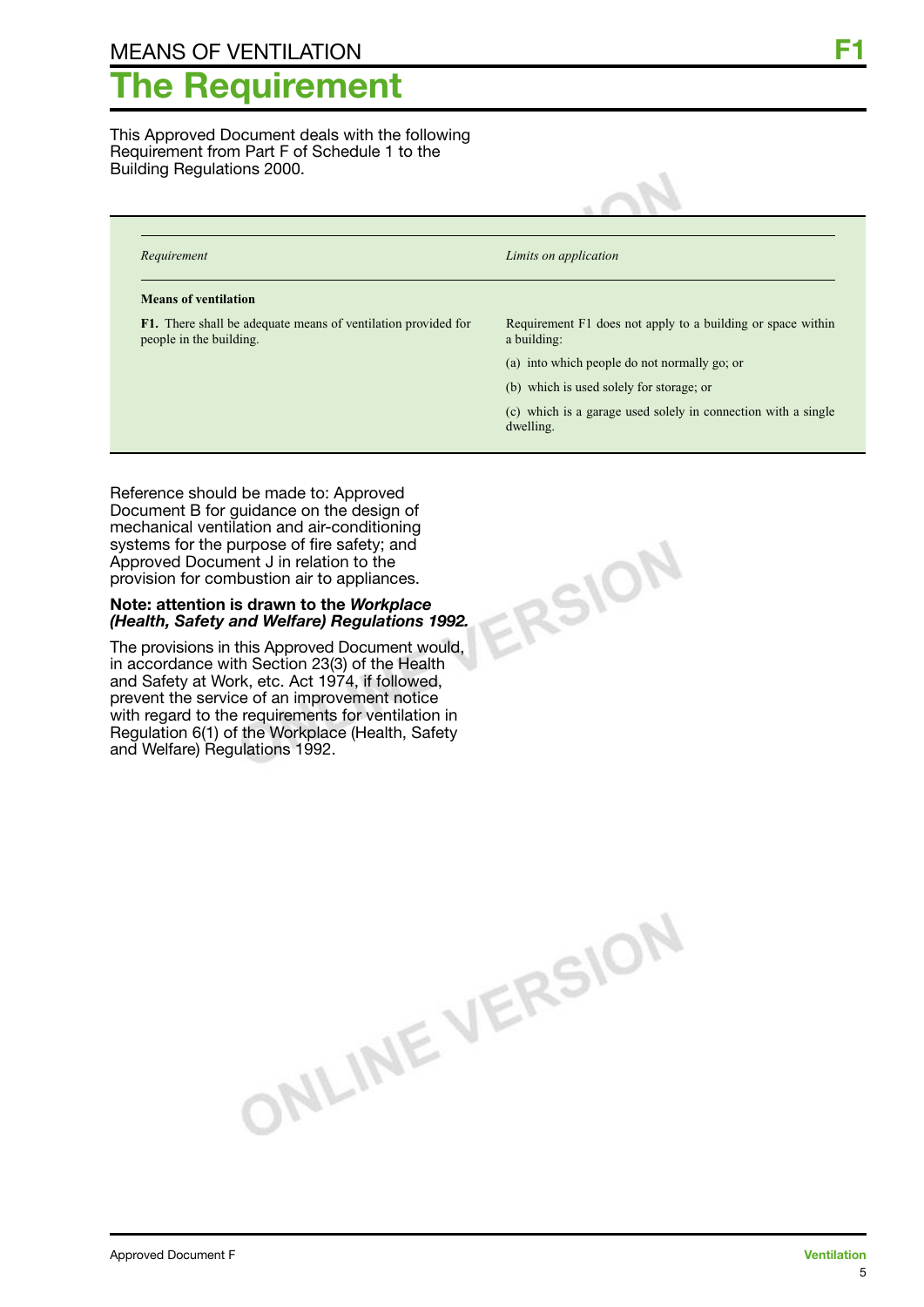# **The Requirement**

This Approved Document deals with the following Requirement from Part F of Schedule 1 to the Building Regulations 2000.

| Limits on application                                                      |  |
|----------------------------------------------------------------------------|--|
|                                                                            |  |
| Requirement F1 does not apply to a building or space within<br>a building: |  |
| (a) into which people do not normally go; or                               |  |
| (b) which is used solely for storage; or                                   |  |
| (c) which is a garage used solely in connection with a single<br>dwelling. |  |
|                                                                            |  |

ERSION

Reference should be made to: Approved Document B for guidance on the design of mechanical ventilation and air-conditioning systems for the purpose of fire safety; and Approved Document J in relation to the provision for combustion air to appliances.

#### **Note: attention is drawn to the** *[Workplace](http://www.theBuildingRegs.com/RefDocs/CIS/Lookup.asp?AccessionNo=70459REG)  [\(Health, Safety and Welfare\) Regulations 1992.](http://www.theBuildingRegs.com/RefDocs/CIS/Lookup.asp?AccessionNo=70459REG)*

The provisions in this Approved Document would, in accordance with Section 23(3) of the [Health](http://www.theBuildingRegs.com/RefDocs/CIS/Lookup.asp?AccessionNo=10533REG)  [and Safety at Work, etc. Act 1974](http://www.theBuildingRegs.com/RefDocs/CIS/Lookup.asp?AccessionNo=10533REG), if followed, prevent the service of an improvement notice with regard to the requirements for ventilation in Regulation 6(1) of the Workplace (Health, Safety and Welfare) Regulations 1992.

ONLINE VERSION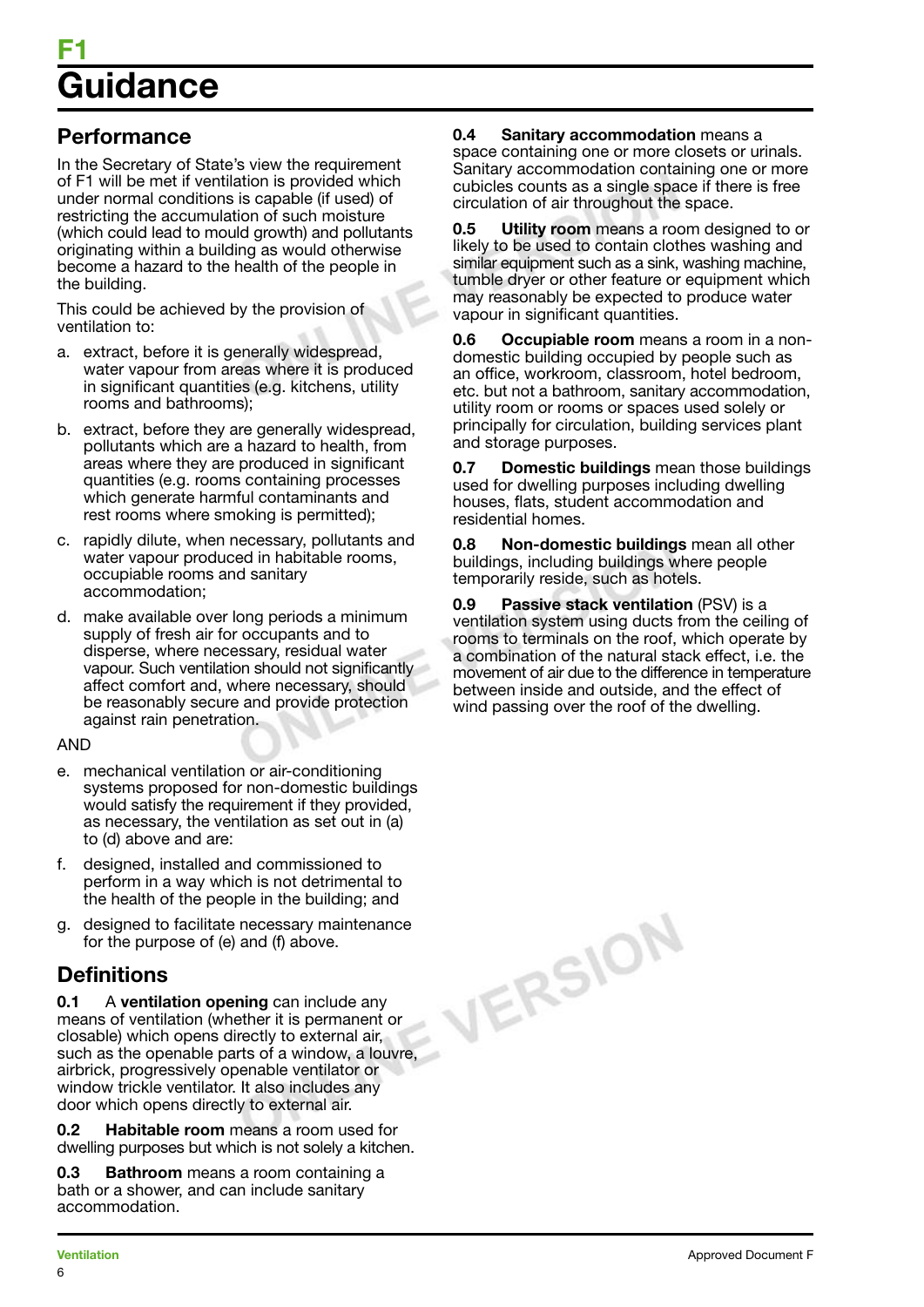# **Guidance F1**

# **Performance**

In the Secretary of State's view the requirement of F1 will be met if ventilation is provided which under normal conditions is capable (if used) of restricting the accumulation of such moisture (which could lead to mould growth) and pollutants originating within a building as would otherwise become a hazard to the health of the people in the building.

This could be achieved by the provision of ventilation to:

- a. extract, before it is generally widespread, water vapour from areas where it is produced in significant quantities (e.g. kitchens, utility rooms and bathrooms);
- b. extract, before they are generally widespread, pollutants which are a hazard to health, from areas where they are produced in significant quantities (e.g. rooms containing processes which generate harmful contaminants and rest rooms where smoking is permitted);
- c. rapidly dilute, when necessary, pollutants and water vapour produced in habitable rooms, occupiable rooms and sanitary accommodation;
- d. make available over long periods a minimum supply of fresh air for occupants and to disperse, where necessary, residual water vapour. Such ventilation should not significantly affect comfort and, where necessary, should be reasonably secure and provide protection against rain penetration.

#### AND

- e. mechanical ventilation or air-conditioning systems proposed for non-domestic buildings would satisfy the requirement if they provided, as necessary, the ventilation as set out in (a) to (d) above and are:
- f. designed, installed and commissioned to perform in a way which is not detrimental to the health of the people in the building; and
- g. designed to facilitate necessary maintenance for the purpose of (e) and (f) above.

# **Definitions**

**0.1** A **ventilation opening** can include any means of ventilation (whether it is permanent or closable) which opens directly to external air, such as the openable parts of a window, a louvre, airbrick, progressively openable ventilator or window trickle ventilator. It also includes any door which opens directly to external air.

**0.2 Habitable room** means a room used for dwelling purposes but which is not solely a kitchen.

**0.3 Bathroom** means a room containing a bath or a shower, and can include sanitary accommodation.

**0.5 Utility room** means a room designed to or likely to be used to contain clothes washing and similar equipment such as a sink, washing machine, tumble dryer or other feature or equipment which may reasonably be expected to produce water vapour in significant quantities.

**0.6 Occupiable room** means a room in a nondomestic building occupied by people such as an office, workroom, classroom, hotel bedroom, etc. but not a bathroom, sanitary accommodation, utility room or rooms or spaces used solely or principally for circulation, building services plant and storage purposes.

**0.7 Domestic buildings** mean those buildings used for dwelling purposes including dwelling houses, flats, student accommodation and residential homes.

**0.8 Non-domestic buildings** mean all other buildings, including buildings where people temporarily reside, such as hotels.

**0.9 Passive stack ventilation** (PSV) is a ventilation system using ducts from the ceiling of rooms to terminals on the roof, which operate by a combination of the natural stack effect, i.e. the movement of air due to the difference in temperature between inside and outside, and the effect of wind passing over the roof of the dwelling.

VERSION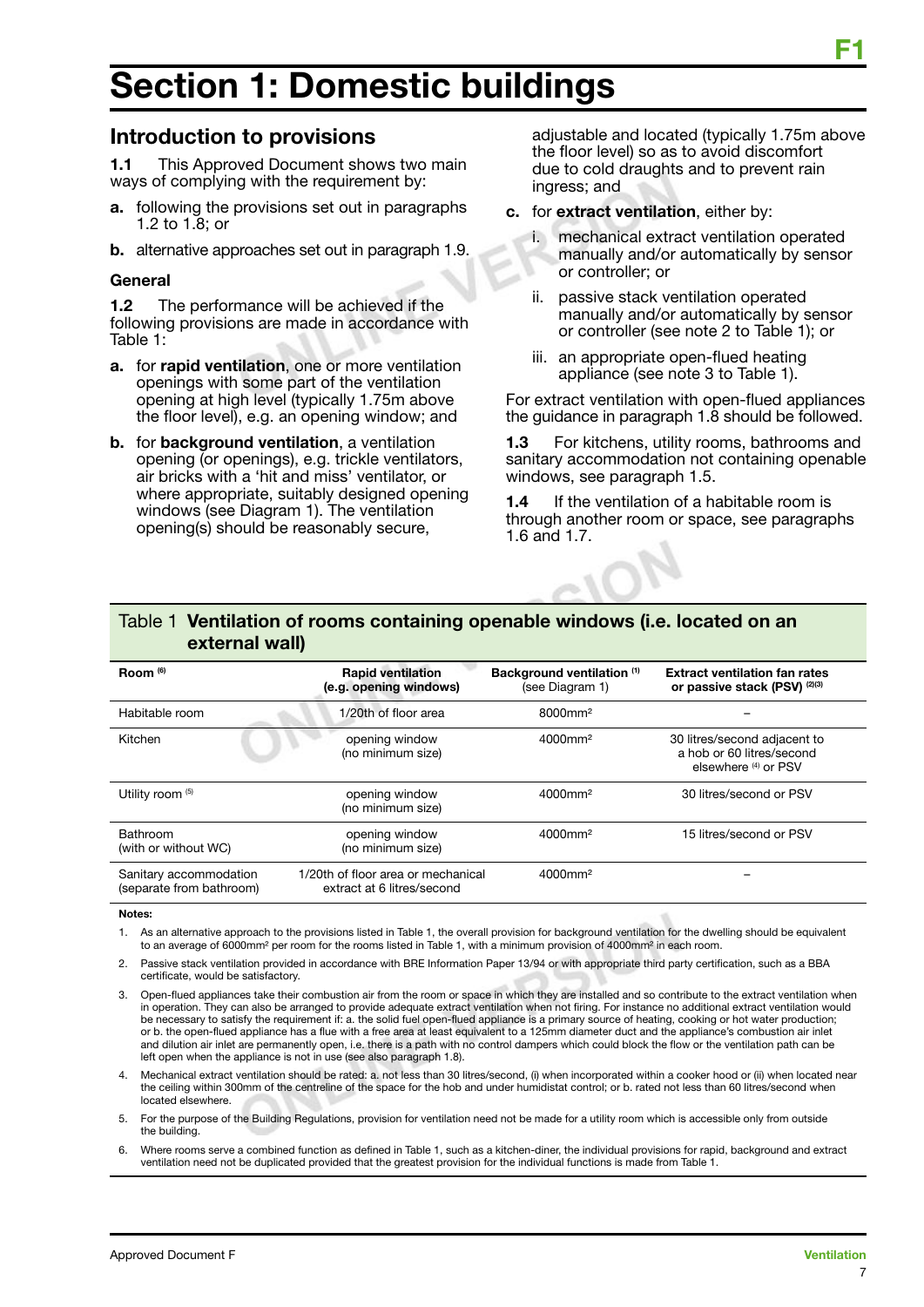# **Section 1: Domestic buildings**

### **Introduction to provisions**

**1.1** This Approved Document shows two main ways of complying with the requirement by:

- **a.** following the provisions set out in paragraphs 1.2 to 1.8; or
- **b.** alternative approaches set out in paragraph 1.9.

#### **General**

**1.2** The performance will be achieved if the following provisions are made in accordance with Table 1:

- **a.** for **rapid ventilation**, one or more ventilation openings with some part of the ventilation opening at high level (typically 1.75m above the floor level), e.g. an opening window; and
- **b.** for **background ventilation**, a ventilation opening (or openings), e.g. trickle ventilators, air bricks with a 'hit and miss' ventilator, or where appropriate, suitably designed opening windows (see Diagram 1). The ventilation opening(s) should be reasonably secure,

adjustable and located (typically 1.75m above the floor level) so as to avoid discomfort due to cold draughts and to prevent rain ingress; and

**F1**

#### **c.** for **extract ventilation**, either by:

- i. mechanical extract ventilation operated manually and/or automatically by sensor or controller; or
- ii. passive stack ventilation operated manually and/or automatically by sensor or controller (see note 2 to Table 1); or
- iii. an appropriate open-flued heating appliance (see note 3 to Table 1).

For extract ventilation with open-flued appliances the guidance in paragraph 1.8 should be followed.

**1.3** For kitchens, utility rooms, bathrooms and sanitary accommodation not containing openable windows, see paragraph 1.5.

**1.4** If the ventilation of a habitable room is through another room or space, see paragraphs 1.6 and 1.7.

#### Table 1 **Ventilation of rooms containing openable windows (i.e. located on an external wall)**

| Room $(6)$                                         | <b>Rapid ventilation</b><br>(e.g. opening windows)               | Background ventilation (1)<br>(see Diagram 1) | <b>Extract ventilation fan rates</b><br>or passive stack (PSV) (2)(3)             |
|----------------------------------------------------|------------------------------------------------------------------|-----------------------------------------------|-----------------------------------------------------------------------------------|
| Habitable room                                     | 1/20th of floor area                                             | 8000mm <sup>2</sup>                           |                                                                                   |
| Kitchen                                            | opening window<br>(no minimum size)                              | 4000mm <sup>2</sup>                           | 30 litres/second adjacent to<br>a hob or 60 litres/second<br>elsewhere (4) or PSV |
| Utility room (5)                                   | opening window<br>(no minimum size)                              | $4000$ mm <sup>2</sup>                        | 30 litres/second or PSV                                                           |
| Bathroom<br>(with or without WC)                   | opening window<br>(no minimum size)                              | 4000mm <sup>2</sup>                           | 15 litres/second or PSV                                                           |
| Sanitary accommodation<br>(separate from bathroom) | 1/20th of floor area or mechanical<br>extract at 6 litres/second | 4000mm <sup>2</sup>                           |                                                                                   |

**Notes:**

1. As an alternative approach to the provisions listed in Table 1, the overall provision for background ventilation for the dwelling should be equivalent to an average of 6000mm<sup>2</sup> per room for the rooms listed in Table 1, with a minimum provision of 4000mm<sup>2</sup> in each room.

- 2. Passive stack ventilation provided in accordance with BRE Information Paper [13/94](http://www.theBuildingRegs.com/RefDocs/CIS/Lookup.asp?AccessionNo=83994REG) or with appropriate third party certification, such as a BBA certificate, would be satisfactory.
- 3. Open-flued appliances take their combustion air from the room or space in which they are installed and so contribute to the extract ventilation when in operation. They can also be arranged to provide adequate extract ventilation when not firing. For instance no additional extract ventilation would be necessary to satisfy the requirement if: a. the solid fuel open-flued appliance is a primary source of heating, cooking or hot water production; or b. the open-flued appliance has a flue with a free area at least equivalent to a 125mm diameter duct and the appliance's combustion air inlet and dilution air inlet are permanently open, i.e. there is a path with no control dampers which could block the flow or the ventilation path can be left open when the appliance is not in use (see also paragraph 1.8).
- 4. Mechanical extract ventilation should be rated: a. not less than 30 litres/second, (i) when incorporated within a cooker hood or (ii) when located near the ceiling within 300mm of the centreline of the space for the hob and under humidistat control; or b. rated not less than 60 litres/second when located elsewhere.

5. For the purpose of the Building Regulations, provision for ventilation need not be made for a utility room which is accessible only from outside the building.

6. Where rooms serve a combined function as defined in Table 1, such as a kitchen-diner, the individual provisions for rapid, background and extract ventilation need not be duplicated provided that the greatest provision for the individual functions is made from Table 1.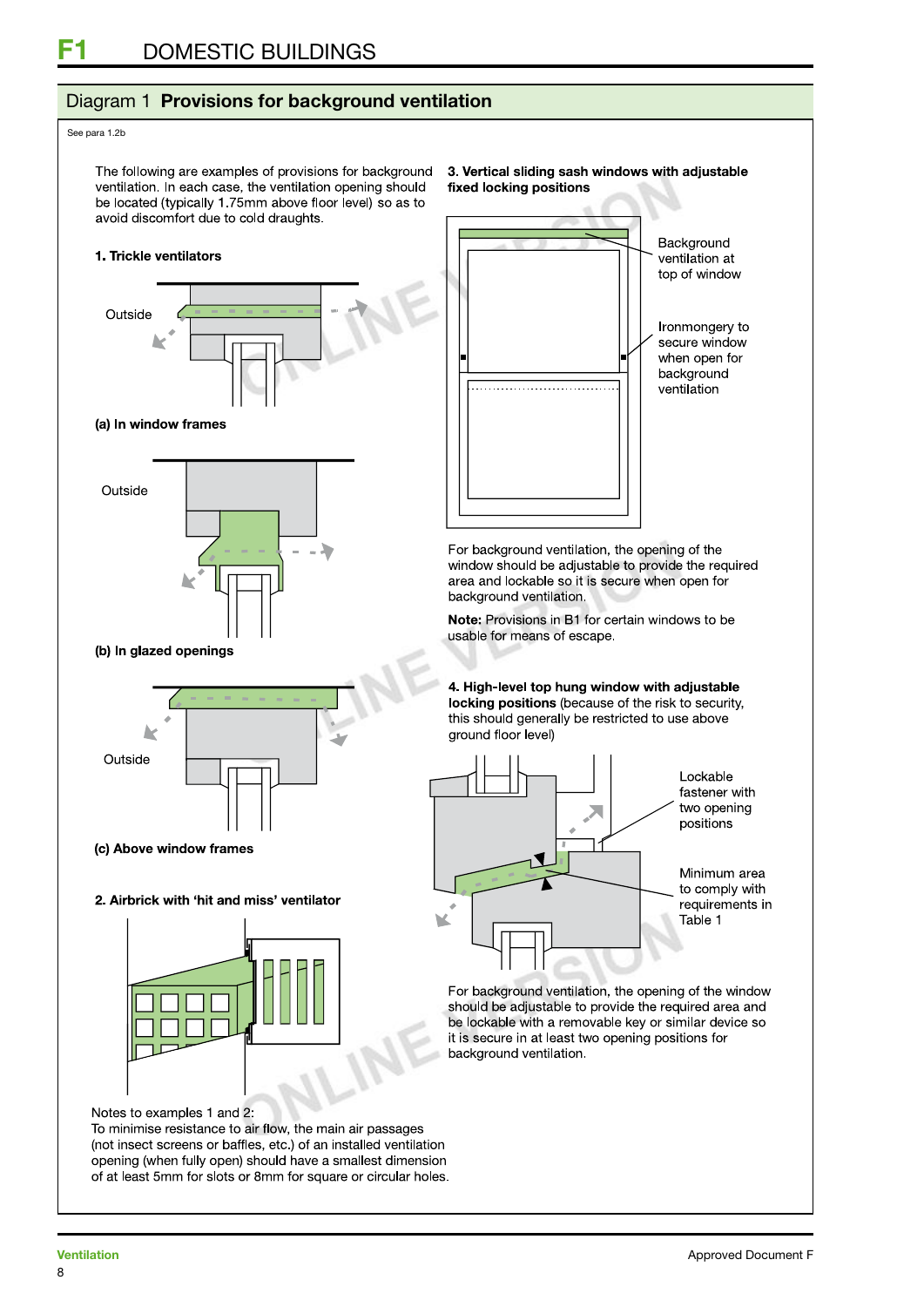#### Diagram 1 **Provisions for background ventilation**

#### See para 1.2b

The following are examples of provisions for background ventilation. In each case, the ventilation opening should be located (typically 1.75mm above floor level) so as to avoid discomfort due to cold draughts.

#### 1. Trickle ventilators





Outside

(c) Above window frames

#### 2. Airbrick with 'hit and miss' ventilator



Notes to examples 1 and 2: To minimise resistance to air flow, the main air passages (not insect screens or baffles, etc.) of an installed ventilation opening (when fully open) should have a smallest dimension of at least 5mm for slots or 8mm for square or circular holes.



be lockable with a removable key or similar device so it is secure in at least two opening positions for background ventilation.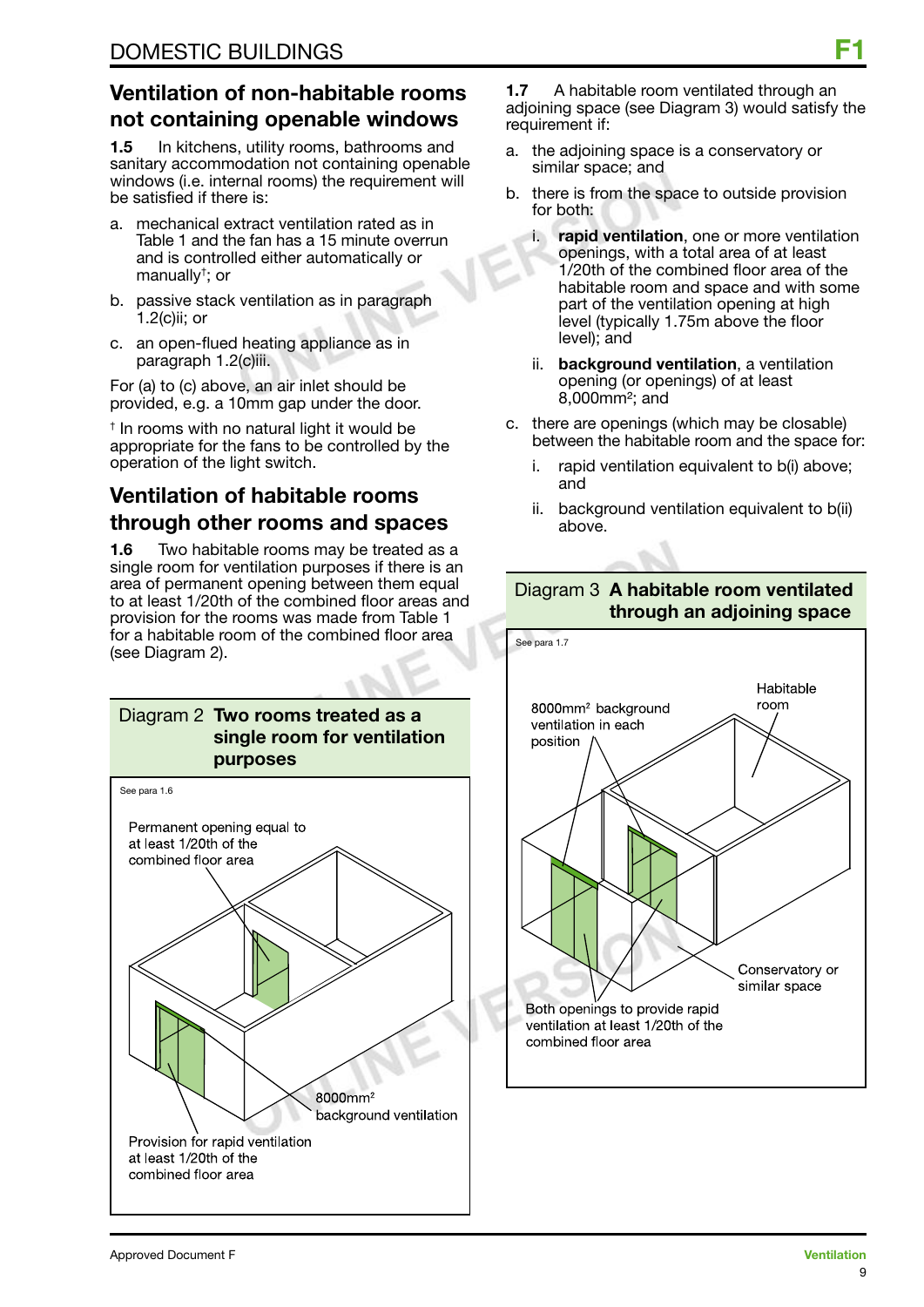# **Ventilation of non-habitable rooms not containing openable windows**

**1.5** In kitchens, utility rooms, bathrooms and sanitary accommodation not containing openable windows (i.e. internal rooms) the requirement will be satisfied if there is:

- a. mechanical extract ventilation rated as in Table 1 and the fan has a 15 minute overrun and is controlled either automatically or manually† ; or
- b. passive stack ventilation as in paragraph 1.2(c)ii; or
- c. an open-flued heating appliance as in paragraph 1.2(c)iii.

For (a) to (c) above, an air inlet should be provided, e.g. a 10mm gap under the door.

† In rooms with no natural light it would be appropriate for the fans to be controlled by the operation of the light switch.

# **Ventilation of habitable rooms through other rooms and spaces**

**1.6** Two habitable rooms may be treated as a single room for ventilation purposes if there is an area of permanent opening between them equal to at least 1/20th of the combined floor areas and provision for the rooms was made from Table 1 for a habitable room of the combined floor area (see Diagram 2).

## Diagram 2 **Two rooms treated as a single room for ventilation purposes**



**1.7** A habitable room ventilated through an adjoining space (see Diagram 3) would satisfy the requirement if:

- a. the adjoining space is a conservatory or similar space; and
- b. there is from the space to outside provision for both:
	- i. **rapid ventilation**, one or more ventilation openings, with a total area of at least 1/20th of the combined floor area of the habitable room and space and with some part of the ventilation opening at high level (typically 1.75m above the floor level); and
	- ii. **background ventilation**, a ventilation opening (or openings) of at least 8,000mm²; and
- c. there are openings (which may be closable) between the habitable room and the space for:
	- i. rapid ventilation equivalent to b(i) above; and
	- ii. background ventilation equivalent to b(ii) above.

## Diagram 3 **A habitable room ventilated through an adjoining space**

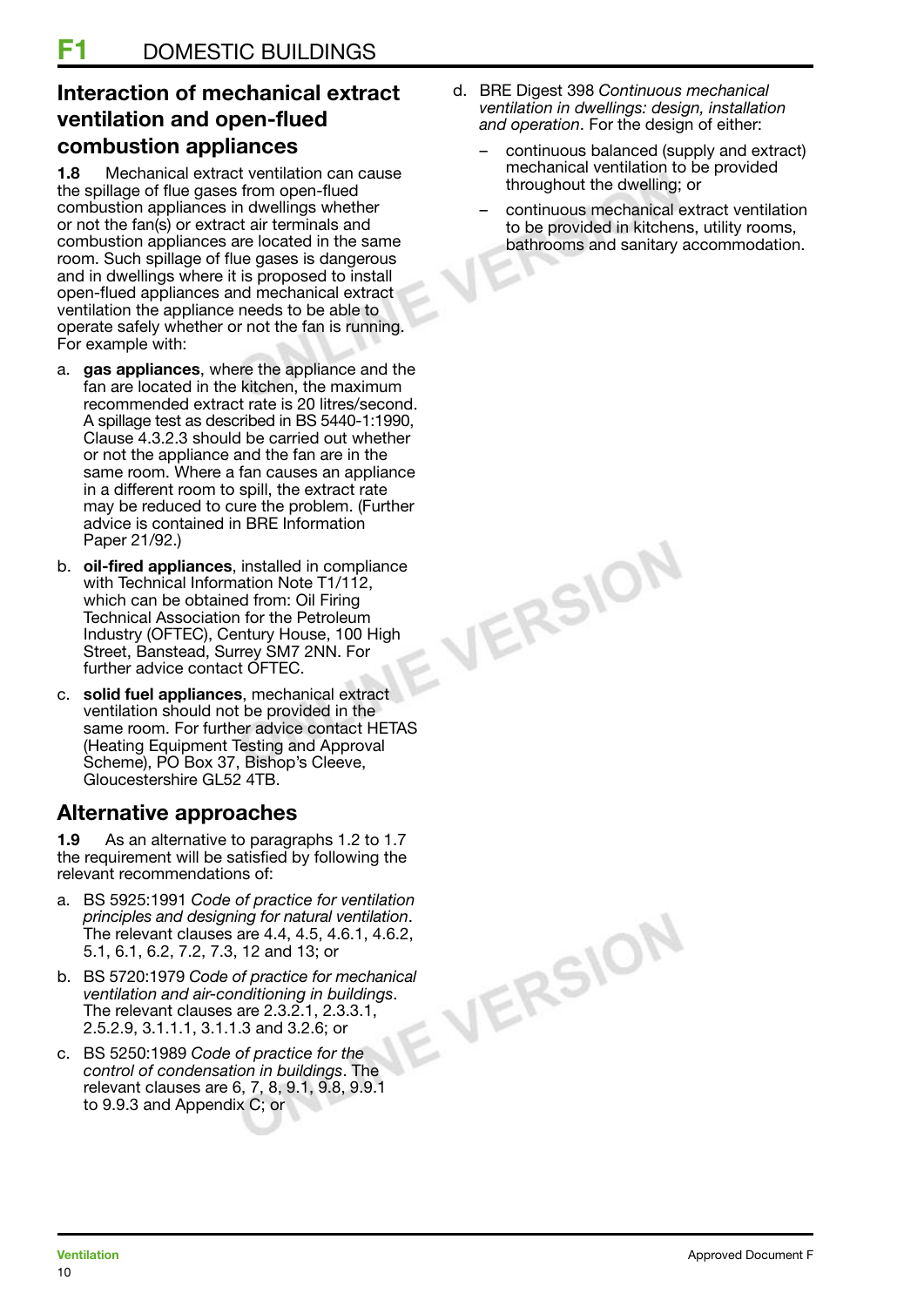# **Interaction of mechanical extract ventilation and open-flued combustion appliances**

**1.8** Mechanical extract ventilation can cause the spillage of flue gases from open-flued combustion appliances in dwellings whether or not the fan(s) or extract air terminals and combustion appliances are located in the same room. Such spillage of flue gases is dangerous and in dwellings where it is proposed to install open-flued appliances and mechanical extract ventilation the appliance needs to be able to operate safely whether or not the fan is running. For example with:

- a. **gas appliances**, where the appliance and the fan are located in the kitchen, the maximum recommended extract rate is 20 litres/second. A spillage test as described in [BS 5440-1:1990,](http://www.theBuildingRegs.com/RefDocs/CIS/Lookup.asp?AccessionNo=71909REG) Clause 4.3.2.3 should be carried out whether or not the appliance and the fan are in the same room. Where a fan causes an appliance in a different room to spill, the extract rate may be reduced to cure the problem. (Further advice is contained in BRE Information Paper [21/92](http://www.theBuildingRegs.com/RefDocs/CIS/Lookup.asp?AccessionNo=70466REG).)
- b. **oil-fired appliances**, installed in compliance with Technical Information Note T1/112, which can be obtained from: Oil Firing Technical Association for the Petroleum Industry (OFTEC), Century House, 100 High Street, Banstead, Surrey SM7 2NN. For further advice contact OFTEC.
- c. **solid fuel appliances**, mechanical extract ventilation should not be provided in the same room. For further advice contact HETAS (Heating Equipment Testing and Approval Scheme), PO Box 37, Bishop's Cleeve, Gloucestershire GL52 4TB.

# **Alternative approaches**

**1.9** As an alternative to paragraphs 1.2 to 1.7 the requirement will be satisfied by following the relevant recommendations of:

- a. [BS 5925:1991](http://www.theBuildingRegs.com/RefDocs/CIS/Lookup.asp?AccessionNo=72037REG) *Code of practice for ventilation principles and designing for natural ventilation*. The relevant clauses are 4.4, 4.5, 4.6.1, 4.6.2, 5.1, 6.1, 6.2, 7.2, 7.3, 12 and 13; or
- b. [BS 5720:1979](http://www.theBuildingRegs.com/RefDocs/CIS/Lookup.asp?AccessionNo=11619REG) *Code of practice for mechanical ventilation and air-conditioning in buildings*. The relevant clauses are 2.3.2.1, 2.3.3.1, 2.5.2.9, 3.1.1.1, 3.1.1.3 and 3.2.6; or
- c. [BS 5250:1989](http://www.theBuildingRegs.com/RefDocs/CIS/Lookup.asp?AccessionNo=14917REG) *Code of practice for the control of condensation in buildings*. The relevant clauses are 6, 7, 8, 9.1, 9.8, 9.9.1 to 9.9.3 and Appendix C; or
- d. [BRE Digest 398](http://www.theBuildingRegs.com/RefDocs/CIS/Lookup.asp?AccessionNo=84453REG) *Continuous mechanical ventilation in dwellings: design, installation and operation*. For the design of either:
	- continuous balanced (supply and extract) mechanical ventilation to be provided throughout the dwelling; or
	- continuous mechanical extract ventilation to be provided in kitchens, utility rooms, bathrooms and sanitary accommodation.

VERSION

VERSION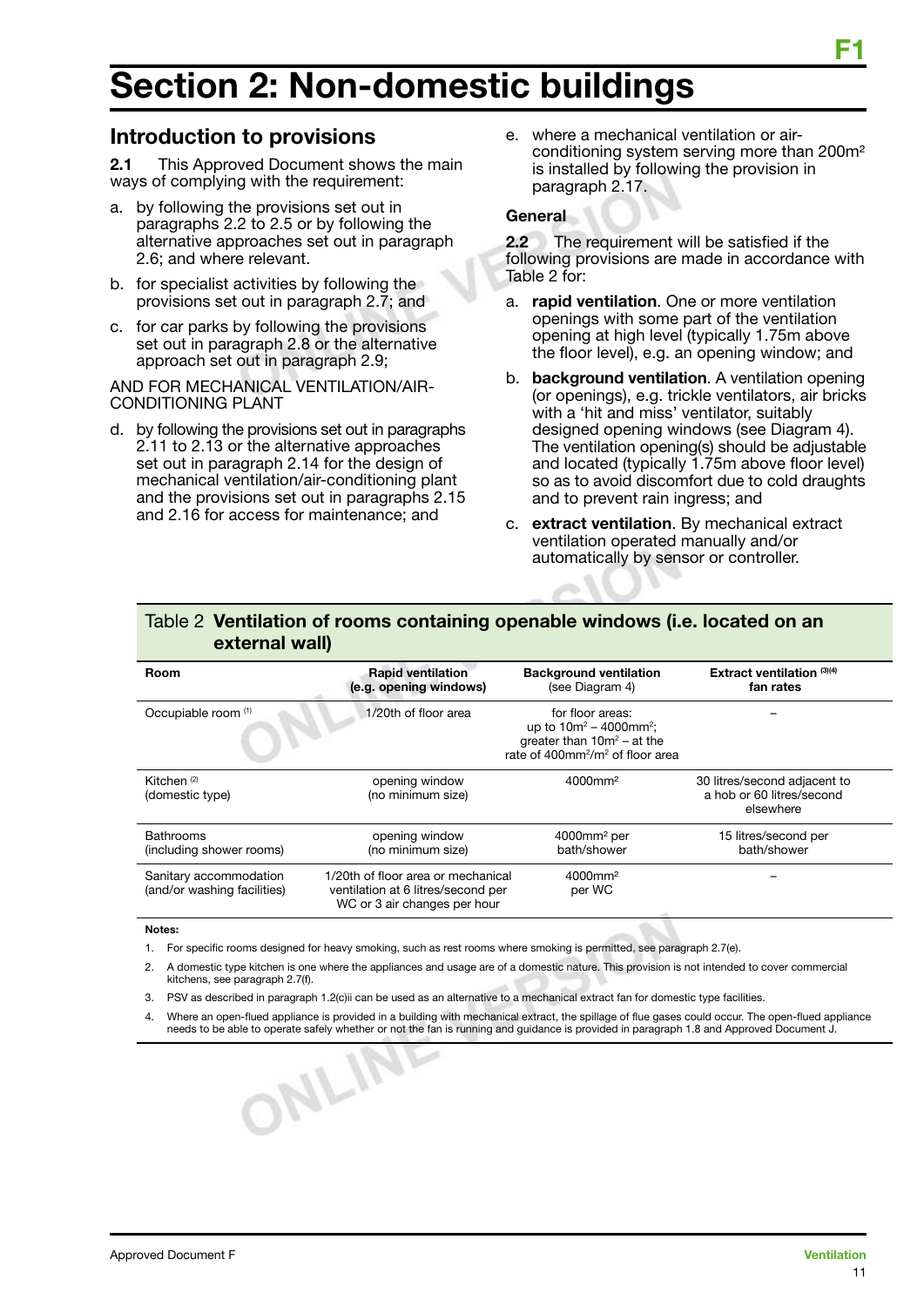# **Section 2: Non-domestic buildings**

### **Introduction to provisions**

**2.1** This Approved Document shows the main ways of complying with the requirement:

- a. by following the provisions set out in paragraphs 2.2 to 2.5 or by following the alternative approaches set out in paragraph 2.6; and where relevant.
- b. for specialist activities by following the provisions set out in paragraph 2.7; and
- c. for car parks by following the provisions set out in paragraph 2.8 or the alternative approach set out in paragraph 2.9;

AND FOR MECHANICAL VENTILATION/AIR-CONDITIONING PLANT

d. by following the provisions set out in paragraphs 2.11 to 2.13 or the alternative approaches set out in paragraph 2.14 for the design of mechanical ventilation/air-conditioning plant and the provisions set out in paragraphs 2.15 and 2.16 for access for maintenance; and

e. where a mechanical ventilation or airconditioning system serving more than 200m² is installed by following the provision in paragraph 2.17.

#### **General**

**2.2** The requirement will be satisfied if the following provisions are made in accordance with Table 2 for:

- a. **rapid ventilation**. One or more ventilation openings with some part of the ventilation opening at high level (typically 1.75m above the floor level), e.g. an opening window; and
- b. **background ventilation**. A ventilation opening (or openings), e.g. trickle ventilators, air bricks with a 'hit and miss' ventilator, suitably designed opening windows (see Diagram 4). The ventilation opening(s) should be adjustable and located (typically 1.75m above floor level) so as to avoid discomfort due to cold draughts and to prevent rain ingress; and
- c. **extract ventilation**. By mechanical extract ventilation operated manually and/or automatically by sensor or controller.

### Table 2 **Ventilation of rooms containing openable windows (i.e. located on an external wall)**

| <b>Room</b>                                           | <b>Rapid ventilation</b><br>(e.g. opening windows)                                                       | <b>Background ventilation</b><br>(see Diagram 4)                                                                                            | Extract ventilation (3)(4)<br>fan rates                                |
|-------------------------------------------------------|----------------------------------------------------------------------------------------------------------|---------------------------------------------------------------------------------------------------------------------------------------------|------------------------------------------------------------------------|
| Occupiable room (1)                                   | 1/20th of floor area                                                                                     | for floor areas:<br>up to $10m^2 - 4000mm^2$ ;<br>qreater than $10m^2$ – at the<br>rate of 400mm <sup>2</sup> /m <sup>2</sup> of floor area |                                                                        |
| Kitchen <sup>(2)</sup><br>(domestic type)             | opening window<br>(no minimum size)                                                                      | $4000$ mm <sup>2</sup>                                                                                                                      | 30 litres/second adjacent to<br>a hob or 60 litres/second<br>elsewhere |
| <b>Bathrooms</b><br>(including shower rooms)          | opening window<br>(no minimum size)                                                                      | 4000mm <sup>2</sup> per<br>bath/shower                                                                                                      | 15 litres/second per<br>bath/shower                                    |
| Sanitary accommodation<br>(and/or washing facilities) | 1/20th of floor area or mechanical<br>ventilation at 6 litres/second per<br>WC or 3 air changes per hour | 4000mm <sup>2</sup><br>per WC                                                                                                               |                                                                        |

**Notes:**

1. For specific rooms designed for heavy smoking, such as rest rooms where smoking is permitted, see paragraph 2.7(e).

**NLIF** 

2. A domestic type kitchen is one where the appliances and usage are of a domestic nature. This provision is not intended to cover commercial kitchens, see paragraph 2.7(f).

3. PSV as described in paragraph 1.2(c)ii can be used as an alternative to a mechanical extract fan for domestic type facilities.

4. Where an open-flued appliance is provided in a building with mechanical extract, the spillage of flue gases could occur. The open-flued appliance needs to be able to operate safely whether or not the fan is running and guidance is provided in paragraph 1.8 and Approved Document J.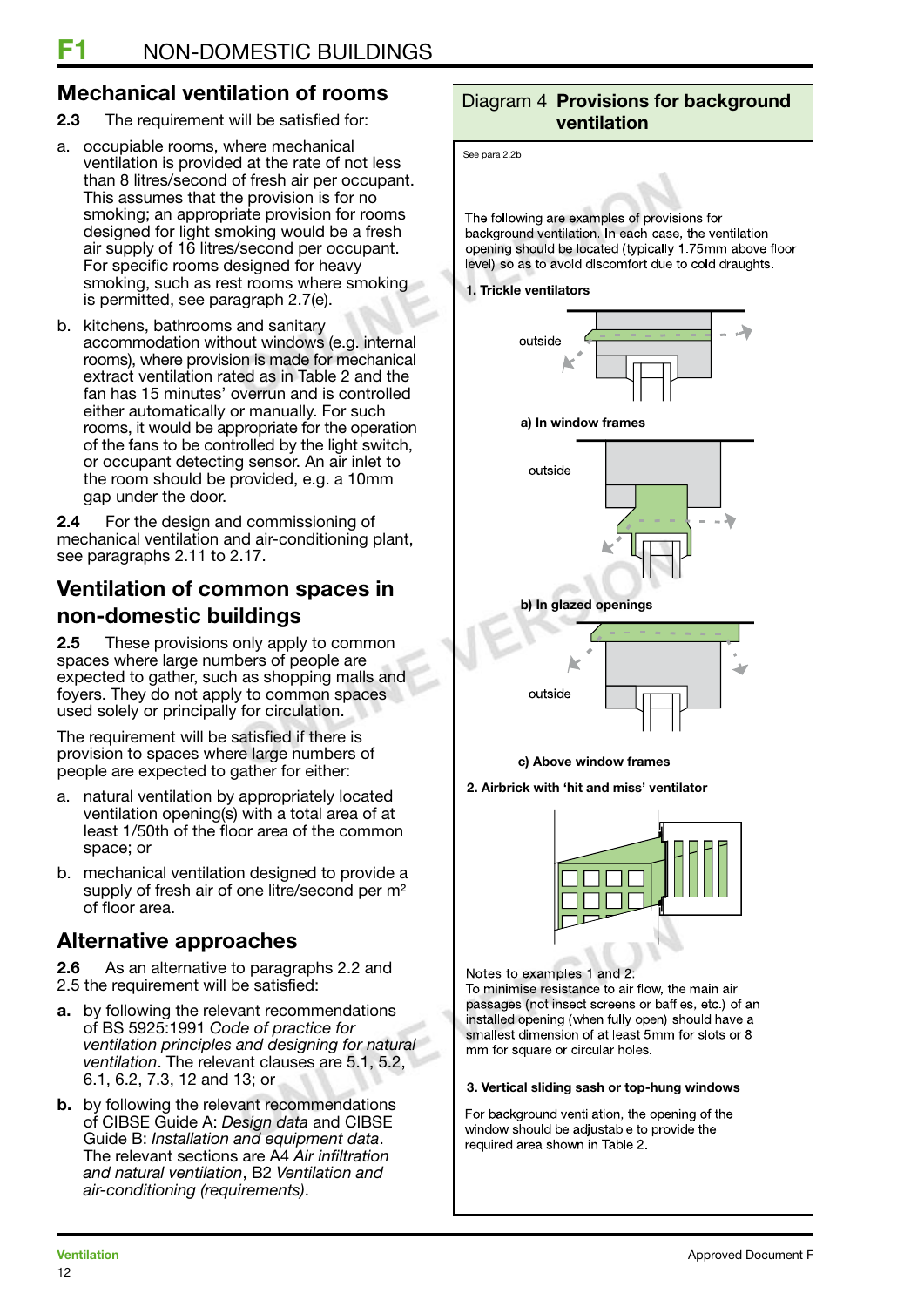# **Mechanical ventilation of rooms**

- **2.3** The requirement will be satisfied for:
- a. occupiable rooms, where mechanical ventilation is provided at the rate of not less than 8 litres/second of fresh air per occupant. This assumes that the provision is for no smoking; an appropriate provision for rooms designed for light smoking would be a fresh air supply of 16 litres/second per occupant. For specific rooms designed for heavy smoking, such as rest rooms where smoking is permitted, see paragraph 2.7(e).
- b. kitchens, bathrooms and sanitary accommodation without windows (e.g. internal rooms), where provision is made for mechanical extract ventilation rated as in Table 2 and the fan has 15 minutes' overrun and is controlled either automatically or manually. For such rooms, it would be appropriate for the operation of the fans to be controlled by the light switch, or occupant detecting sensor. An air inlet to the room should be provided, e.g. a 10mm gap under the door.

**2.4** For the design and commissioning of mechanical ventilation and air-conditioning plant, see paragraphs 2.11 to 2.17.

## **Ventilation of common spaces in non-domestic buildings**

**2.5** These provisions only apply to common spaces where large numbers of people are expected to gather, such as shopping malls and foyers. They do not apply to common spaces used solely or principally for circulation.

The requirement will be satisfied if there is provision to spaces where large numbers of people are expected to gather for either:

- natural ventilation by appropriately located ventilation opening(s) with a total area of at least 1/50th of the floor area of the common space; or
- b. mechanical ventilation designed to provide a supply of fresh air of one litre/second per m<sup>2</sup> of floor area.

# **Alternative approaches**

**2.6** As an alternative to paragraphs 2.2 and 2.5 the requirement will be satisfied:

- **a.** by following the relevant recommendations of [BS 5925:1991](http://www.theBuildingRegs.com/RefDocs/CIS/Lookup.asp?AccessionNo=72037REG) *Code of practice for ventilation principles and designing for natural ventilation*. The relevant clauses are 5.1, 5.2, 6.1, 6.2, 7.3, 12 and 13; or
- **b.** by following the relevant recommendations of [CIBSE Guide A](http://www.theBuildingRegs.com/RefDocs/CIS/Lookup.asp?AccessionNo=71493REG): *Design data* and [CIBSE](http://www.theBuildingRegs.com/RefDocs/CIS/Lookup.asp?AccessionNo=248131REG)  [Guide B:](http://www.theBuildingRegs.com/RefDocs/CIS/Lookup.asp?AccessionNo=248131REG) *Installation and equipment data*. The relevant sections are A4 *Air infiltration and natural ventilation*, B2 *Ventilation and air-conditioning (requirements)*.

#### Diagram 4 **Provisions for background ventilation**

See para 2.2b

The following are examples of provisions for background ventilation. In each case, the ventilation opening should be located (typically 1.75mm above floor level) so as to avoid discomfort due to cold draughts.

#### **1. Trickle ventilators**





Notes to examples 1 and 2:

To minimise resistance to air flow, the main air passages (not insect screens or baffles, etc.) of an installed opening (when fully open) should have a smallest dimension of at least 5mm for slots or 8 mm for square or circular holes.

#### **3. Vertical sliding sash or top-hung windows**

For background ventilation, the opening of the window should be adjustable to provide the required area shown in Table 2.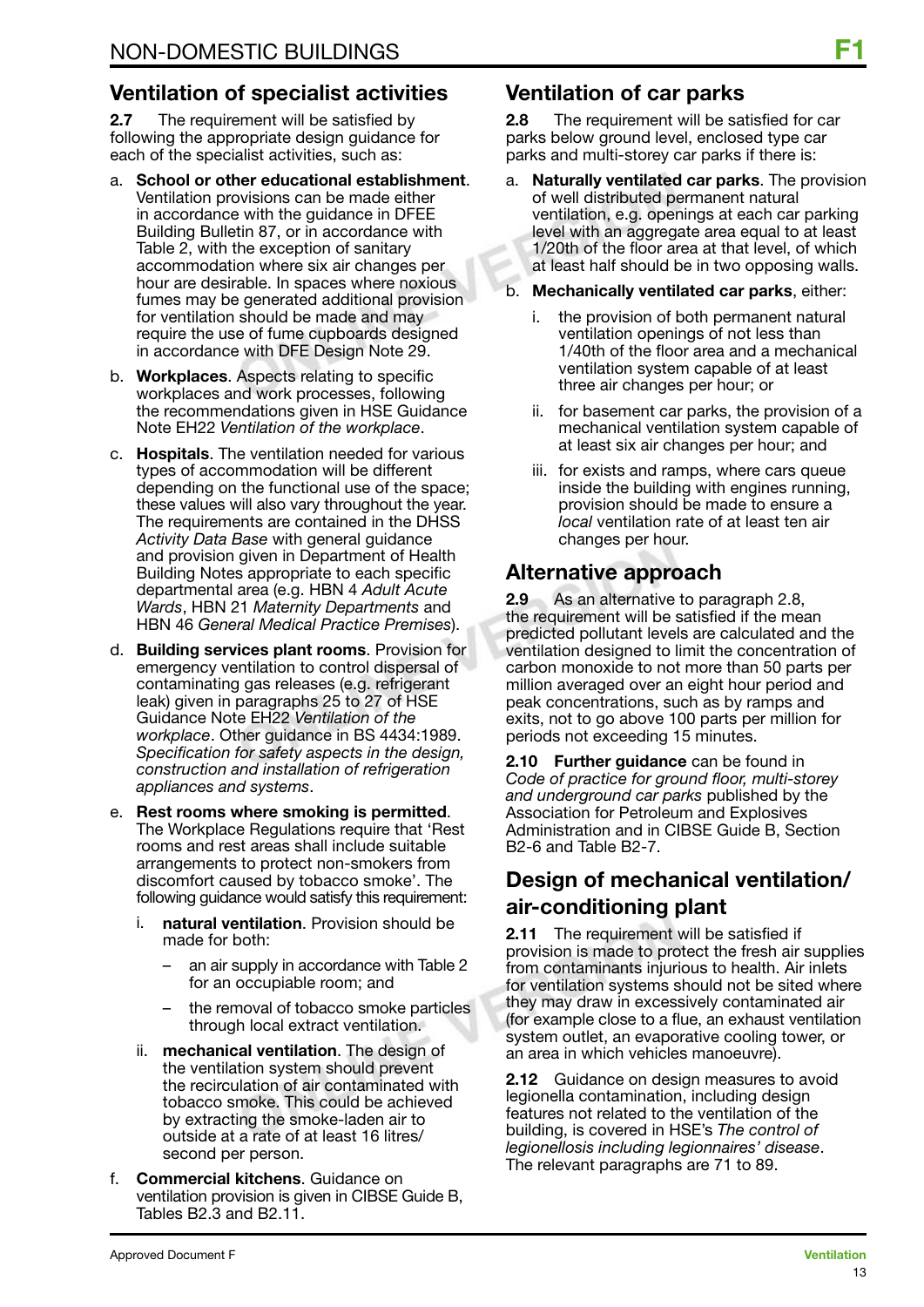# **Ventilation of specialist activities**

**2.7** The requirement will be satisfied by following the appropriate design guidance for each of the specialist activities, such as:

- a. **School or other educational establishment**. Ventilation provisions can be made either in accordance with the guidance in [DFEE](http://www.theBuildingRegs.com/RefDocs/CIS/Lookup.asp?AccessionNo=264369REG)  [Building Bulletin 87](http://www.theBuildingRegs.com/RefDocs/CIS/Lookup.asp?AccessionNo=264369REG), or in accordance with Table 2, with the exception of sanitary accommodation where six air changes per hour are desirable. In spaces where noxious fumes may be generated additional provision for ventilation should be made and may require the use of fume cupboards designed in accordance with [DFE Design Note 29.](http://www.theBuildingRegs.com/RefDocs/CIS/Lookup.asp?AccessionNo=85964REG)
- b. **Workplaces**. Aspects relating to specific workplaces and work processes, following the recommendations given in [HSE Guidance](http://www.theBuildingRegs.com/RefDocs/CIS/Lookup.asp?AccessionNo=261846REG)  [Note EH22](http://www.theBuildingRegs.com/RefDocs/CIS/Lookup.asp?AccessionNo=261846REG) *Ventilation of the workplace*.
- c. **Hospitals**. The ventilation needed for various types of accommodation will be different depending on the functional use of the space; these values will also vary throughout the year. The requirements are contained in the DHSS *Activity Data Base* with general guidance and provision given in Department of Health Building Notes appropriate to each specific departmental area (e.g. HBN 4 *Adult Acute Wards*, HBN 21 *Maternity Departments* and HBN 46 *General Medical Practice Premises*).
- d. **Building services plant rooms**. Provision for emergency ventilation to control dispersal of contaminating gas releases (e.g. refrigerant leak) given in paragraphs 25 to 27 of [HSE](http://www.theBuildingRegs.com/RefDocs/CIS/Lookup.asp?AccessionNo=261846REG)  [Guidance Note EH22](http://www.theBuildingRegs.com/RefDocs/CIS/Lookup.asp?AccessionNo=261846REG) *Ventilation of the workplace*. Other guidance in [BS 4434:1989](http://www.theBuildingRegs.com/RefDocs/CIS/Lookup.asp?AccessionNo=246803REG). *Specification for safety aspects in the design, construction and installation of refrigeration appliances and systems*.
- e. **Rest rooms where smoking is permitted**. The [Workplace Regulations](http://www.theBuildingRegs.com/RefDocs/CIS/Lookup.asp?AccessionNo=70459REG) require that 'Rest rooms and rest areas shall include suitable arrangements to protect non-smokers from discomfort caused by tobacco smoke'. The following guidance would satisfy this requirement:
	- i. **natural ventilation**. Provision should be made for both:
		- an air supply in accordance with Table 2 for an occupiable room; and
		- the removal of tobacco smoke particles through local extract ventilation.
	- ii. **mechanical ventilation**. The design of the ventilation system should prevent the recirculation of air contaminated with tobacco smoke. This could be achieved by extracting the smoke-laden air to outside at a rate of at least 16 litres/ second per person.
- f. **Commercial kitchens**. Guidance on ventilation provision is given in [CIBSE Guide B,](http://www.theBuildingRegs.com/RefDocs/CIS/Lookup.asp?AccessionNo=248131REG) Tables B2.3 and B2.11.

# **Ventilation of car parks**

**2.8** The requirement will be satisfied for car parks below ground level, enclosed type car parks and multi-storey car parks if there is:

- a. **Naturally ventilated car parks**. The provision of well distributed permanent natural ventilation, e.g. openings at each car parking level with an aggregate area equal to at least 1/20th of the floor area at that level, of which at least half should be in two opposing walls.
- b. **Mechanically ventilated car parks**, either:
	- i. the provision of both permanent natural ventilation openings of not less than 1/40th of the floor area and a mechanical ventilation system capable of at least three air changes per hour; or
	- ii. for basement car parks, the provision of a mechanical ventilation system capable of at least six air changes per hour; and
	- iii. for exists and ramps, where cars queue inside the building with engines running, provision should be made to ensure a *local* ventilation rate of at least ten air changes per hour.

# **Alternative approach**

**2.9** As an alternative to paragraph 2.8, the requirement will be satisfied if the mean predicted pollutant levels are calculated and the ventilation designed to limit the concentration of carbon monoxide to not more than 50 parts per million averaged over an eight hour period and peak concentrations, such as by ramps and exits, not to go above 100 parts per million for periods not exceeding 15 minutes.

**2.10 Further guidance** can be found in *Code of practice for ground floor, multi-storey and underground car parks* published by the Association for Petroleum and Explosives Administration and in [CIBSE Guide B](http://www.theBuildingRegs.com/RefDocs/CIS/Lookup.asp?AccessionNo=248131REG), Section B2-6 and Table B2-7.

## **Design of mechanical ventilation/ air-conditioning plant**

**2.11** The requirement will be satisfied if provision is made to protect the fresh air supplies from contaminants injurious to health. Air inlets for ventilation systems should not be sited where they may draw in excessively contaminated air (for example close to a flue, an exhaust ventilation system outlet, an evaporative cooling tower, or an area in which vehicles manoeuvre).

**2.12** Guidance on design measures to avoid legionella contamination, including design features not related to the ventilation of the building, is covered in HSE's *The control of legionellosis including legionnaires' disease*. The relevant paragraphs are 71 to 89.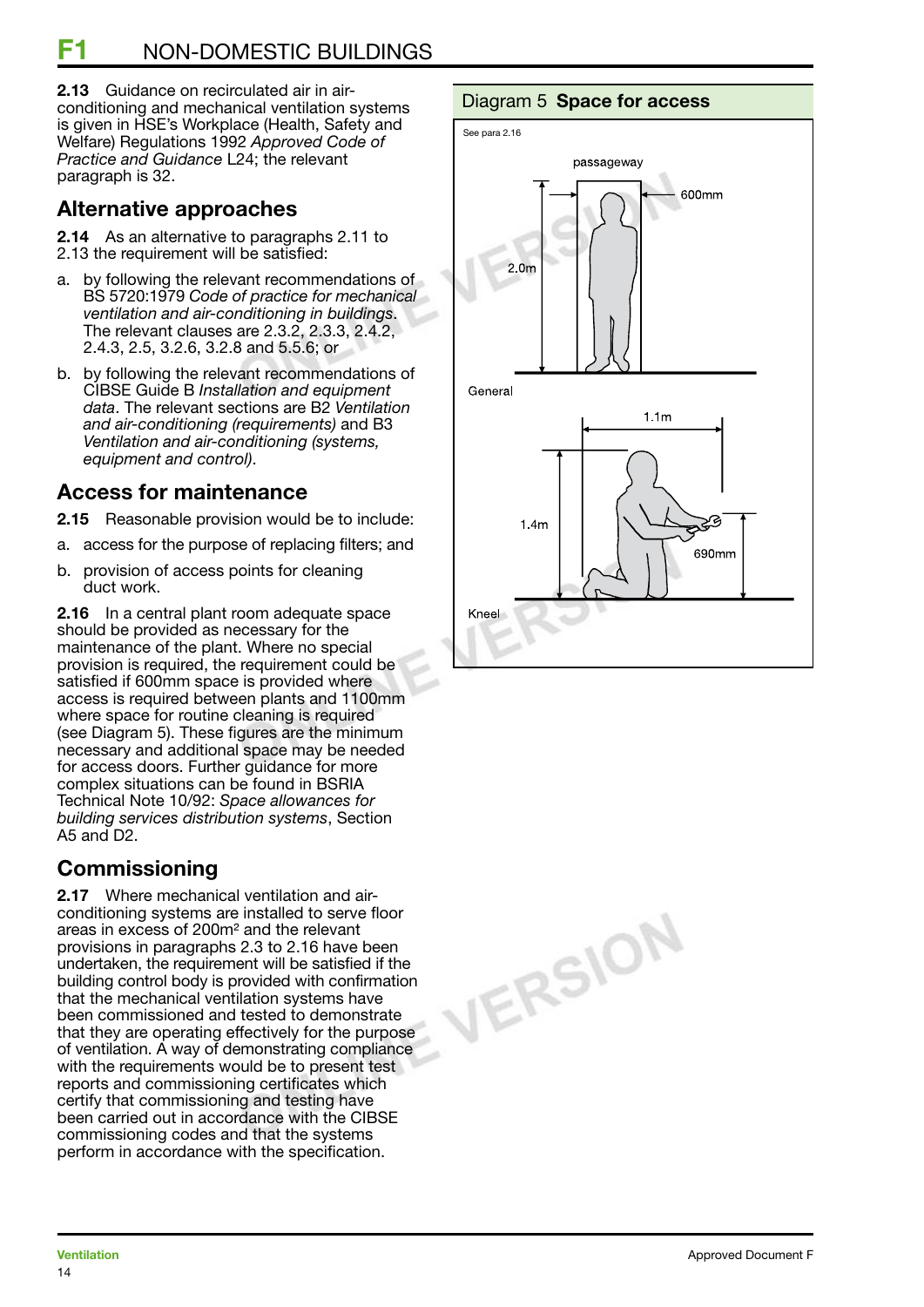# **F1** NON-DOMESTIC BUILDINGS

**2.13** Guidance on recirculated air in airconditioning and mechanical ventilation systems is given in HSE's Workplace (Health, Safety and Welfare) Regulations 1992 *[Approved Code of](http://www.theBuildingRegs.com/RefDocs/CIS/Lookup.asp?AccessionNo=70459REG)  [Practice and Guidance](http://www.theBuildingRegs.com/RefDocs/CIS/Lookup.asp?AccessionNo=70459REG)* L24; the relevant paragraph is 32.

# **Alternative approaches**

**2.14** As an alternative to paragraphs 2.11 to 2.13 the requirement will be satisfied:

- a. by following the relevant recommendations of [BS 5720:1979](http://www.theBuildingRegs.com/RefDocs/CIS/Lookup.asp?AccessionNo=11619REG) *Code of practice for mechanical ventilation and air-conditioning in buildings*. The relevant clauses are 2.3.2, 2.3.3, 2.4.2, 2.4.3, 2.5, 3.2.6, 3.2.8 and 5.5.6; or
- b. by following the relevant recommendations of [CIBSE Guide B](http://www.theBuildingRegs.com/RefDocs/CIS/Lookup.asp?AccessionNo=248131REG) *Installation and equipment data*. The relevant sections are B2 *Ventilation and air-conditioning (requirements)* and B3 *Ventilation and air-conditioning (systems, equipment and control)*.

## **Access for maintenance**

- **2.15** Reasonable provision would be to include:
- a. access for the purpose of replacing filters; and
- b. provision of access points for cleaning duct work.

**2.16** In a central plant room adequate space should be provided as necessary for the maintenance of the plant. Where no special provision is required, the requirement could be satisfied if 600mm space is provided where access is required between plants and 1100mm where space for routine cleaning is required (see Diagram 5). These figures are the minimum necessary and additional space may be needed for access doors. Further guidance for more complex situations can be found in BSRIA [Technical Note 10/92:](http://www.theBuildingRegs.com/RefDocs/CIS/Lookup.asp?AccessionNo=261843REG) *Space allowances for building services distribution systems*, Section A5 and D2.

# **Commissioning**

**2.17** Where mechanical ventilation and airconditioning systems are installed to serve floor areas in excess of 200m² and the relevant provisions in paragraphs 2.3 to 2.16 have been undertaken, the requirement will be satisfied if the building control body is provided with confirmation that the mechanical ventilation systems have been commissioned and tested to demonstrate that they are operating effectively for the purpose of ventilation. A way of demonstrating compliance with the requirements would be to present test reports and commissioning certificates which certify that commissioning and testing have been carried out in accordance with the CIBSE commissioning codes and that the systems perform in accordance with the specification.

### Diagram 5 **Space for access**



VERSION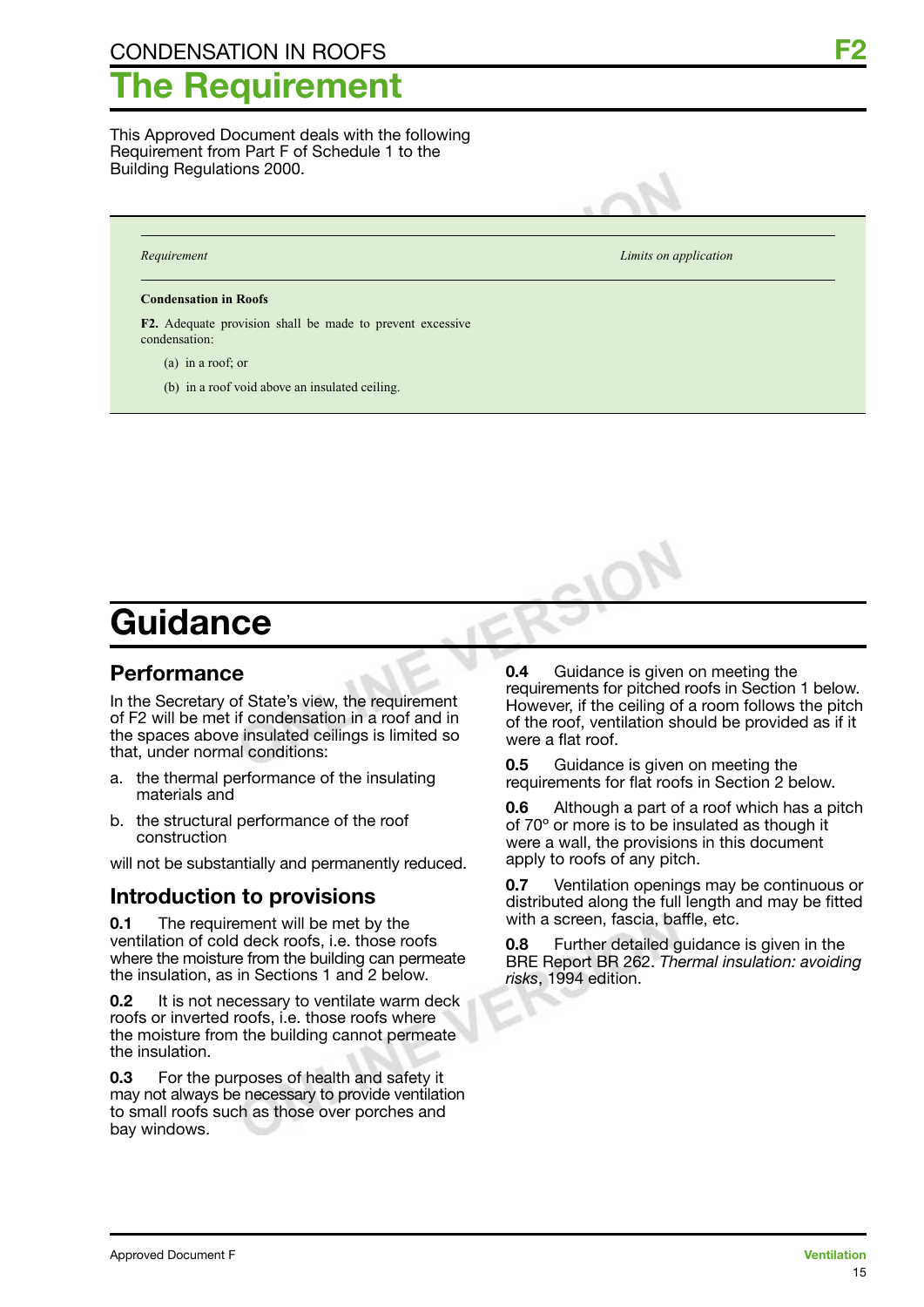# **The Requirement**

This Approved Document deals with the following Requirement from Part F of Schedule 1 to the Building Regulations 2000.

*Requirement Limits**on**application* **<b>***Limits on application Limits on application* 

#### **Condensation in Roofs**

**F2.** Adequate provision shall be made to prevent excessive condensation:

(a) in a roof; or

(b) in a roof void above an insulated ceiling.

# **Guidance**

### **Performance**

In the Secretary of State's view, the requirement of F2 will be met if condensation in a roof and in the spaces above insulated ceilings is limited so that, under normal conditions:

- a. the thermal performance of the insulating materials and
- b. the structural performance of the roof construction

will not be substantially and permanently reduced.

#### **Introduction to provisions**

**0.1** The requirement will be met by the ventilation of cold deck roofs, i.e. those roofs where the moisture from the building can permeate the insulation, as in Sections 1 and 2 below.

**0.2** It is not necessary to ventilate warm deck roofs or inverted roofs, i.e. those roofs where the moisture from the building cannot permeate the insulation.

**0.3** For the purposes of health and safety it may not always be necessary to provide ventilation to small roofs such as those over porches and bay windows.

**0.4** Guidance is given on meeting the requirements for pitched roofs in Section 1 below. However, if the ceiling of a room follows the pitch of the roof, ventilation should be provided as if it were a flat roof.

**0.5** Guidance is given on meeting the requirements for flat roofs in Section 2 below.

**0.6** Although a part of a roof which has a pitch of 70º or more is to be insulated as though it were a wall, the provisions in this document apply to roofs of any pitch.

**0.7** Ventilation openings may be continuous or distributed along the full length and may be fitted with a screen, fascia, baffle, etc.

**0.8** Further detailed guidance is given in the [BRE Report BR 262](http://www.theBuildingRegs.com/RefDocs/CIS/Lookup.asp?AccessionNo=200649REG). *Thermal insulation: avoiding risks*, 1994 edition.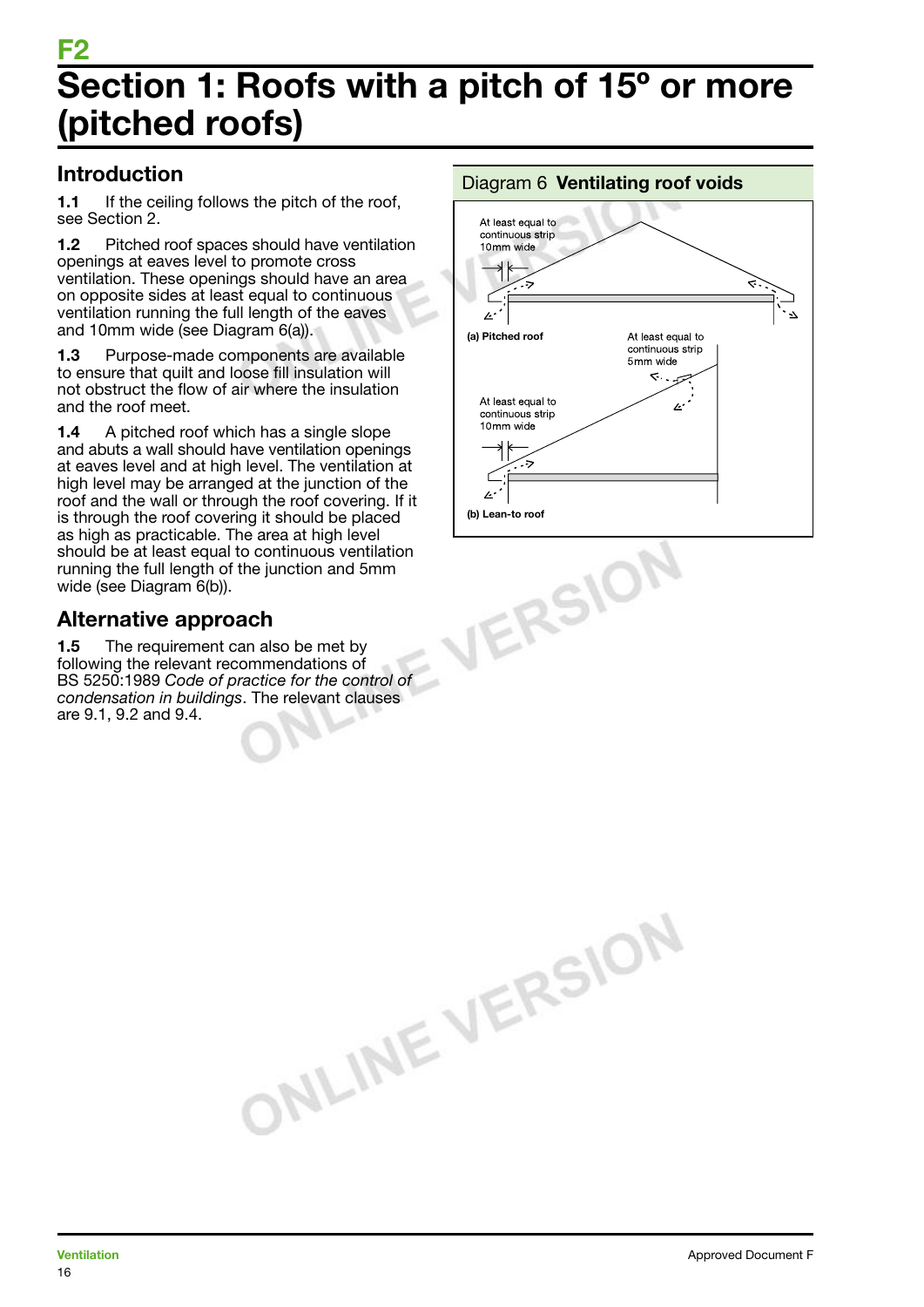# **Section 1: Roofs with a pitch of 15º or more (pitched roofs) F2**

# **Introduction**

**1.1** If the ceiling follows the pitch of the roof. see Section 2.

**1.2** Pitched roof spaces should have ventilation openings at eaves level to promote cross ventilation. These openings should have an area on opposite sides at least equal to continuous ventilation running the full length of the eaves and 10mm wide (see Diagram 6(a)).

**1.3** Purpose-made components are available to ensure that quilt and loose fill insulation will not obstruct the flow of air where the insulation and the roof meet.

**1.4** A pitched roof which has a single slope and abuts a wall should have ventilation openings at eaves level and at high level. The ventilation at high level may be arranged at the junction of the roof and the wall or through the roof covering. If it is through the roof covering it should be placed as high as practicable. The area at high level should be at least equal to continuous ventilation running the full length of the junction and 5mm wide (see Diagram 6(b)).

# **Alternative approach**

**1.5** The requirement can also be met by following the relevant recommendations of [BS 5250:1989](http://www.theBuildingRegs.com/RefDocs/CIS/Lookup.asp?AccessionNo=14917REG) *Code of practice for the control of condensation in buildings*. The relevant clauses are 9.1, 9.2 and 9.4.



ONLINE VERSION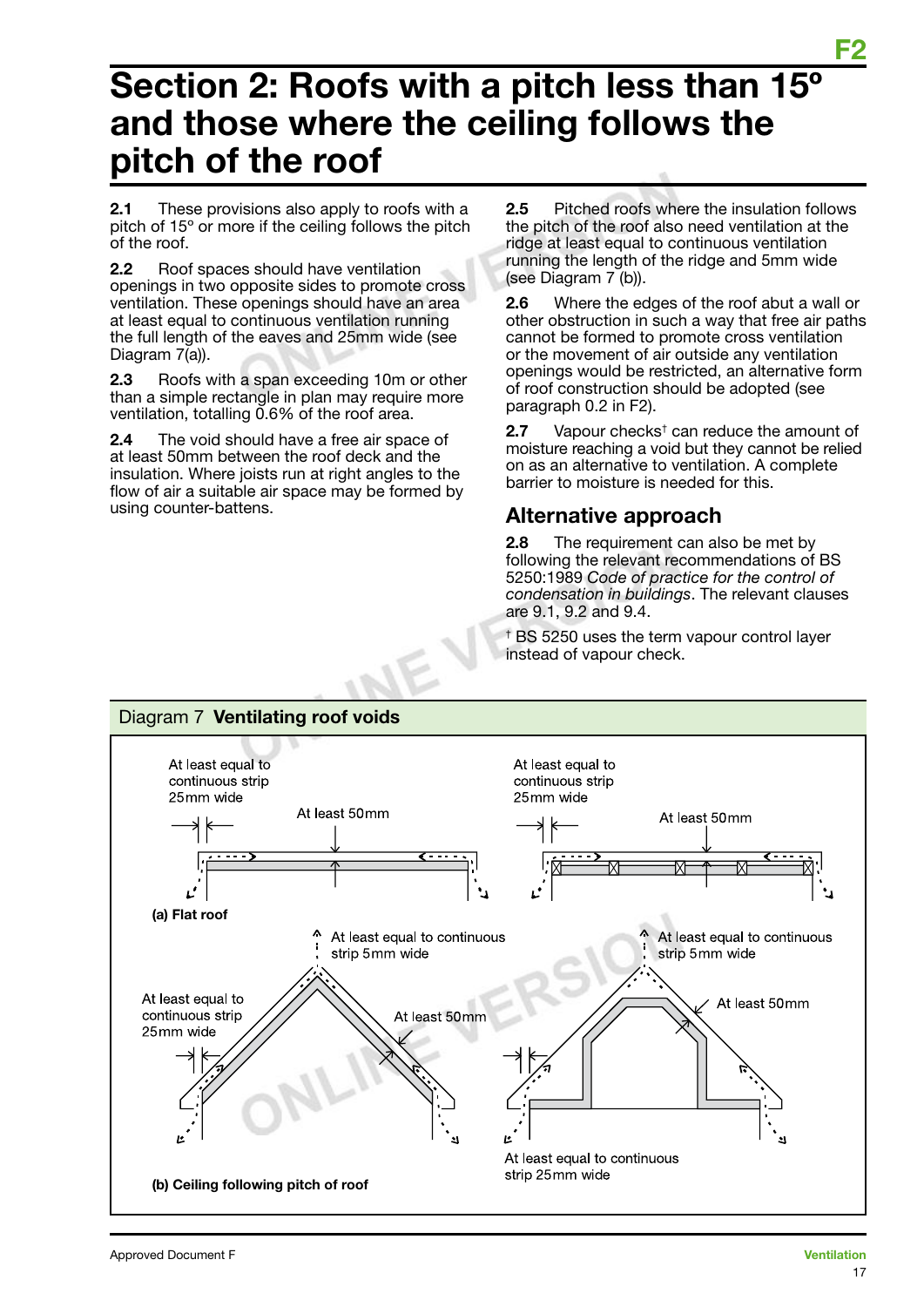# **Section 2: Roofs with a pitch less than 15º and those where the ceiling follows the pitch of the roof**

**2.1** These provisions also apply to roofs with a pitch of 15º or more if the ceiling follows the pitch of the roof.

**2.2** Roof spaces should have ventilation openings in two opposite sides to promote cross ventilation. These openings should have an area at least equal to continuous ventilation running the full length of the eaves and 25mm wide (see Diagram 7(a)).

**2.3** Roofs with a span exceeding 10m or other than a simple rectangle in plan may require more ventilation, totalling 0.6% of the roof area.

**2.4** The void should have a free air space of at least 50mm between the roof deck and the insulation. Where joists run at right angles to the flow of air a suitable air space may be formed by using counter-battens.

**2.5** Pitched roofs where the insulation follows the pitch of the roof also need ventilation at the ridge at least equal to continuous ventilation running the length of the ridge and 5mm wide (see Diagram 7 (b)).

**F2**

**2.6** Where the edges of the roof abut a wall or other obstruction in such a way that free air paths cannot be formed to promote cross ventilation or the movement of air outside any ventilation openings would be restricted, an alternative form of roof construction should be adopted (see paragraph 0.2 in F2).

**2.7** Vapour checks<sup>†</sup> can reduce the amount of moisture reaching a void but they cannot be relied on as an alternative to ventilation. A complete barrier to moisture is needed for this.

# **Alternative approach**

**2.8** The requirement can also be met by following the relevant recommendations of [BS](http://www.theBuildingRegs.com/RefDocs/CIS/Lookup.asp?AccessionNo=14917REG)  [5250:1989](http://www.theBuildingRegs.com/RefDocs/CIS/Lookup.asp?AccessionNo=14917REG) *Code of practice for the control of condensation in buildings*. The relevant clauses are 9.1, 9.2 and 9.4.

† BS 5250 uses the term vapour control layer instead of vapour check.

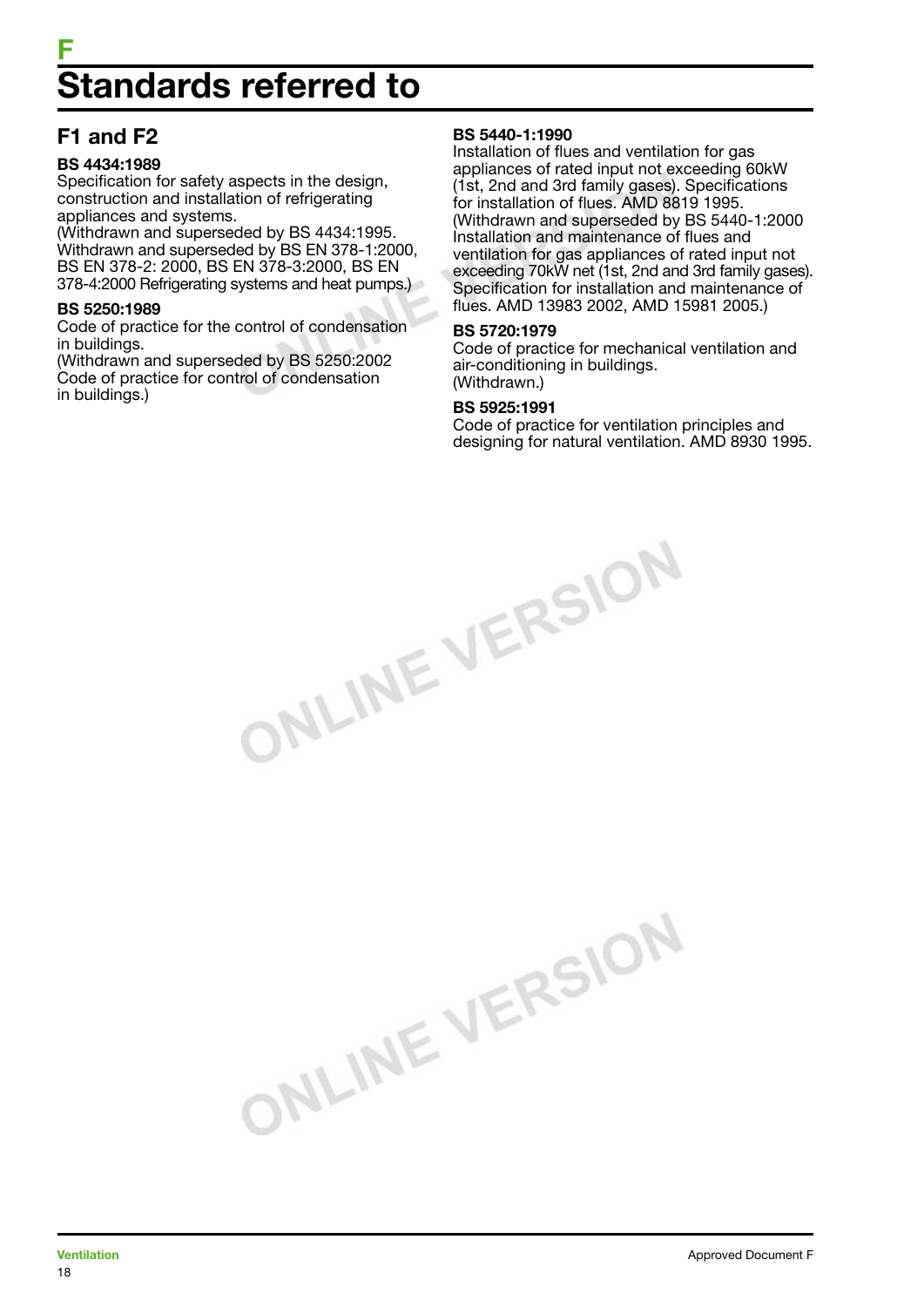# **Standards referred to F**

# **F1 and F2**

#### **BS 4434:1989**

Specification for safety aspects in the design, construction and installation of refrigerating appliances and systems.

(Withdrawn and superseded by BS 4434:1995. Withdrawn and superseded by BS EN 378-1:2000, BS EN 378-2: 2000, BS EN 378-3:2000, BS EN 378-4:2000 Refrigerating systems and heat pumps.)

#### **BS 5250:1989**

Code of practice for the control of condensation in buildings.

(Withdrawn and superseded by BS 5250:2002 Code of practice for control of condensation in buildings.)

#### **BS 5440-1:1990**

Installation of flues and ventilation for gas appliances of rated input not exceeding 60kW (1st, 2nd and 3rd family gases). Specifications for installation of flues. AMD 8819 1995. (Withdrawn and superseded by BS 5440-1:2000 Installation and maintenance of flues and ventilation for gas appliances of rated input not exceeding 70kW net (1st, 2nd and 3rd family gases). Specification for installation and maintenance of flues. AMD 13983 2002, AMD 15981 2005.)

#### **BS 5720:1979**

Code of practice for mechanical ventilation and air-conditioning in buildings. (Withdrawn.)

#### **BS 5925:1991**

Code of practice for ventilation principles and designing for natural ventilation. AMD 8930 1995.

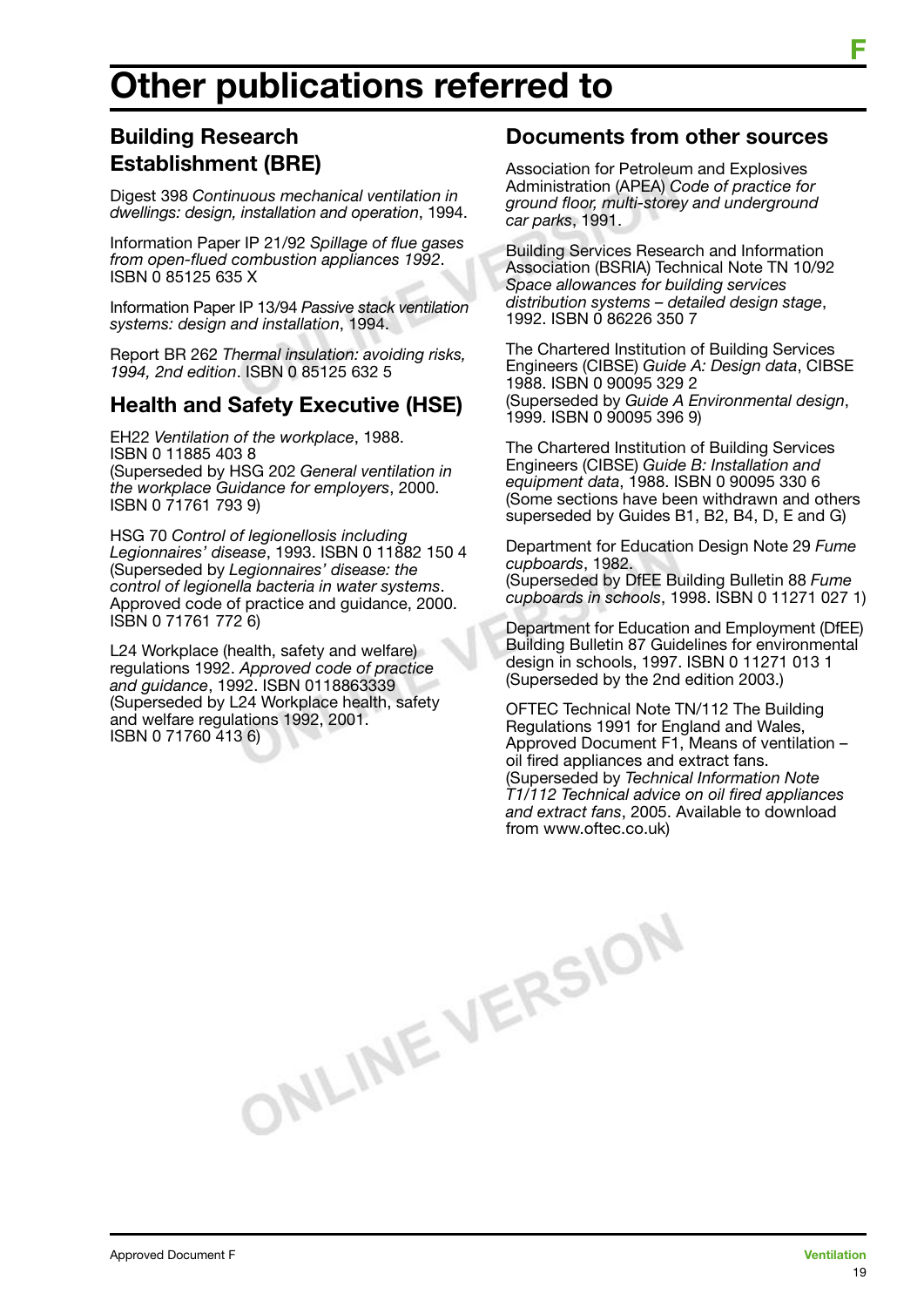# **Other publications referred to**

# **Building Research Establishment (BRE)**

Digest 398 *Continuous mechanical ventilation in dwellings: design, installation and operation*, 1994.

Information Paper IP 21/92 *Spillage of flue gases from open-flued combustion appliances 1992*. ISBN 0 85125 635 X

Information Paper IP 13/94 *Passive stack ventilation systems: design and installation*, 1994.

Report BR 262 *Thermal insulation: avoiding risks, 1994, 2nd edition*. ISBN 0 85125 632 5

# **Health and Safety Executive (HSE)**

EH22 *Ventilation of the workplace*, 1988. ISBN 0 11885 403 8 (Superseded by HSG 202 *General ventilation in the workplace Guidance for employers*, 2000. ISBN 0 71761 793 9)

HSG 70 *Control of legionellosis including Legionnaires' disease*, 1993. ISBN 0 11882 150 4 (Superseded by *Legionnaires' disease: the control of legionella bacteria in water systems*. Approved code of practice and guidance, 2000. ISBN 0 71761 772 6)

L24 Workplace (health, safety and welfare) regulations 1992. *Approved code of practice and guidance*, 1992. ISBN 0118863339 (Superseded by L24 Workplace health, safety and welfare regulations 1992, 2001. ISBN 0 71760 413 6)

ONLINE VERSION

## **Documents from other sources**

Association for Petroleum and Explosives Administration (APEA) *Code of practice for ground floor, multi-storey and underground car parks*, 1991.

Building Services Research and Information Association (BSRIA) Technical Note TN 10/92 *Space allowances for building services distribution systems – detailed design stage*, 1992. ISBN 0 86226 350 7

The Chartered Institution of Building Services Engineers (CIBSE) *Guide A: Design data*, CIBSE 1988. ISBN 0 90095 329 2 (Superseded by *Guide A Environmental design*, 1999. ISBN 0 90095 396 9)

The Chartered Institution of Building Services Engineers (CIBSE) *Guide B: Installation and equipment data*, 1988. ISBN 0 90095 330 6 (Some sections have been withdrawn and others superseded by Guides B1, B2, B4, D, E and G)

Department for Education Design Note 29 *Fume cupboards*, 1982.

(Superseded by DfEE Building Bulletin 88 *Fume cupboards in schools*, 1998. ISBN 0 11271 027 1)

Department for Education and Employment (DfEE) Building Bulletin 87 Guidelines for environmental design in schools, 1997. ISBN 0 11271 013 1 (Superseded by the 2nd edition 2003.)

OFTEC Technical Note TN/112 The Building Regulations 1991 for England and Wales, Approved Document F1, Means of ventilation – oil fired appliances and extract fans. (Superseded by *Technical Information Note T1/112 Technical advice on oil fired appliances and extract fans*, 2005. Available to download from www.oftec.co.uk)

**F**